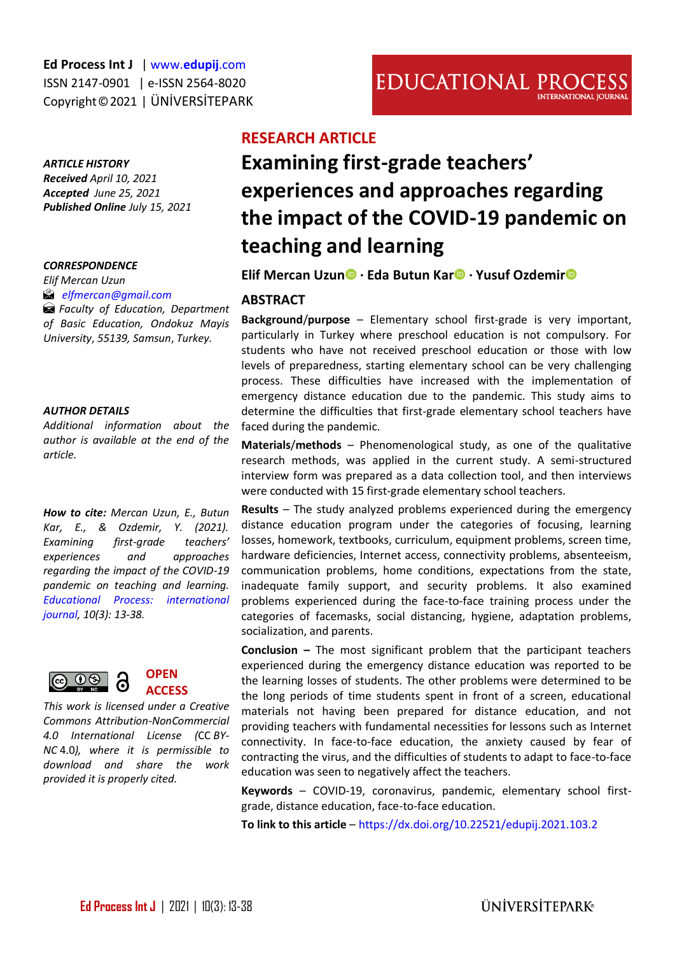#### *ARTICLE HISTORY*

*Received April 10, 2021 Accepted June 25, 2021 Published Online July 15, 2021* 

#### *CORRESPONDENCE*

*Elif Mercan Uzun*

 *[elfmercan@gmail.com](mailto:elfmercan@gmail.com)*

*Faculty of Education, Department of Basic Education, Ondokuz Mayis University*, *55139, Samsun*, *Turkey.* 

#### *AUTHOR DETAILS*

*Additional information about the author is available at the end of the article.*

*How to cite: Mercan Uzun, E., Butun Kar, E., & Ozdemir, Y. (2021). Examining first-grade teachers' experiences and approaches regarding the impact of the COVID-19 pandemic on teaching and learning. [Educational Process: international](http://edupij.com/)  [journal,](http://edupij.com/) 10(3): 13-38.*





*This work is licensed under a Creative Commons Attribution-NonCommercial 4.0 International License (*CC *BY-NC* 4.0*), where it is permissible to download and share the work provided it is properly cited.*

# **RESEARCH ARTICLE**

# **Examining first-grade teachers' experiences and approaches regarding the impact of the COVID-19 pandemic on teaching and learning**

#### **Elif Mercan Uzu[n](https://orcid.org/0000-0001-9069-1375) · Eda Butun Ka[r](https://orcid.org/0000-0002-6226-0137) · Yusuf Ozdemi[r](https://orcid.org/0000-0003-2024-6916)**

#### **ABSTRACT**

**Background**/**purpose** – Elementary school first-grade is very important, particularly in Turkey where preschool education is not compulsory. For students who have not received preschool education or those with low levels of preparedness, starting elementary school can be very challenging process. These difficulties have increased with the implementation of emergency distance education due to the pandemic. This study aims to determine the difficulties that first-grade elementary school teachers have faced during the pandemic.

**Materials**/**methods** – Phenomenological study, as one of the qualitative research methods, was applied in the current study. A semi-structured interview form was prepared as a data collection tool, and then interviews were conducted with 15 first-grade elementary school teachers.

**Results** – The study analyzed problems experienced during the emergency distance education program under the categories of focusing, learning losses, homework, textbooks, curriculum, equipment problems, screen time, hardware deficiencies, Internet access, connectivity problems, absenteeism, communication problems, home conditions, expectations from the state, inadequate family support, and security problems. It also examined problems experienced during the face-to-face training process under the categories of facemasks, social distancing, hygiene, adaptation problems, socialization, and parents.

**Conclusion –** The most significant problem that the participant teachers experienced during the emergency distance education was reported to be the learning losses of students. The other problems were determined to be the long periods of time students spent in front of a screen, educational materials not having been prepared for distance education, and not providing teachers with fundamental necessities for lessons such as Internet connectivity. In face-to-face education, the anxiety caused by fear of contracting the virus, and the difficulties of students to adapt to face-to-face education was seen to negatively affect the teachers.

**Keywords** – COVID-19, coronavirus, pandemic, elementary school firstgrade, distance education, face-to-face education.

**To link to this article** – <https://dx.doi.org/10.22521/edupij.2021.103.2>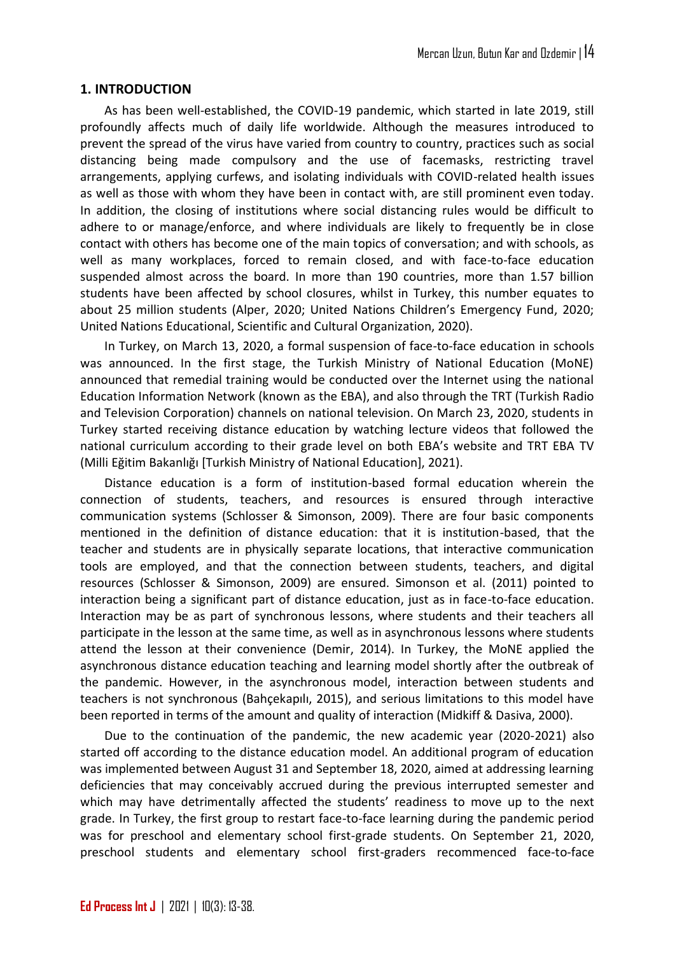#### **1. INTRODUCTION**

As has been well-established, the COVID-19 pandemic, which started in late 2019, still profoundly affects much of daily life worldwide. Although the measures introduced to prevent the spread of the virus have varied from country to country, practices such as social distancing being made compulsory and the use of facemasks, restricting travel arrangements, applying curfews, and isolating individuals with COVID-related health issues as well as those with whom they have been in contact with, are still prominent even today. In addition, the closing of institutions where social distancing rules would be difficult to adhere to or manage/enforce, and where individuals are likely to frequently be in close contact with others has become one of the main topics of conversation; and with schools, as well as many workplaces, forced to remain closed, and with face-to-face education suspended almost across the board. In more than 190 countries, more than 1.57 billion students have been affected by school closures, whilst in Turkey, this number equates to about 25 million students (Alper, 2020; United Nations Children's Emergency Fund, 2020; United Nations Educational, Scientific and Cultural Organization, 2020).

In Turkey, on March 13, 2020, a formal suspension of face-to-face education in schools was announced. In the first stage, the Turkish Ministry of National Education (MoNE) announced that remedial training would be conducted over the Internet using the national Education Information Network (known as the EBA), and also through the TRT (Turkish Radio and Television Corporation) channels on national television. On March 23, 2020, students in Turkey started receiving distance education by watching lecture videos that followed the national curriculum according to their grade level on both EBA's website and TRT EBA TV (Milli Eğitim Bakanlığı [Turkish Ministry of National Education], 2021).

Distance education is a form of institution-based formal education wherein the connection of students, teachers, and resources is ensured through interactive communication systems (Schlosser & Simonson, 2009). There are four basic components mentioned in the definition of distance education: that it is institution-based, that the teacher and students are in physically separate locations, that interactive communication tools are employed, and that the connection between students, teachers, and digital resources (Schlosser & Simonson, 2009) are ensured. Simonson et al. (2011) pointed to interaction being a significant part of distance education, just as in face-to-face education. Interaction may be as part of synchronous lessons, where students and their teachers all participate in the lesson at the same time, as well as in asynchronous lessons where students attend the lesson at their convenience (Demir, 2014). In Turkey, the MoNE applied the asynchronous distance education teaching and learning model shortly after the outbreak of the pandemic. However, in the asynchronous model, interaction between students and teachers is not synchronous (Bahçekapılı, 2015), and serious limitations to this model have been reported in terms of the amount and quality of interaction (Midkiff & Dasiva, 2000).

Due to the continuation of the pandemic, the new academic year (2020-2021) also started off according to the distance education model. An additional program of education was implemented between August 31 and September 18, 2020, aimed at addressing learning deficiencies that may conceivably accrued during the previous interrupted semester and which may have detrimentally affected the students' readiness to move up to the next grade. In Turkey, the first group to restart face-to-face learning during the pandemic period was for preschool and elementary school first-grade students. On September 21, 2020, preschool students and elementary school first-graders recommenced face-to-face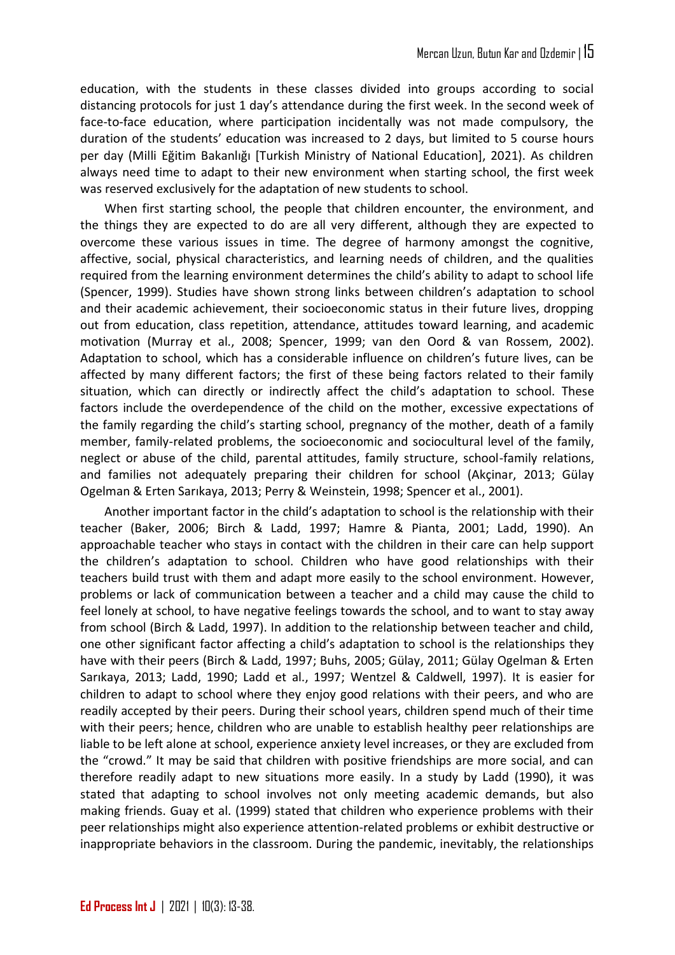education, with the students in these classes divided into groups according to social distancing protocols for just 1 day's attendance during the first week. In the second week of face-to-face education, where participation incidentally was not made compulsory, the duration of the students' education was increased to 2 days, but limited to 5 course hours per day (Milli Eğitim Bakanlığı Turkish Ministry of National Education), 2021). As children always need time to adapt to their new environment when starting school, the first week was reserved exclusively for the adaptation of new students to school.

When first starting school, the people that children encounter, the environment, and the things they are expected to do are all very different, although they are expected to overcome these various issues in time. The degree of harmony amongst the cognitive, affective, social, physical characteristics, and learning needs of children, and the qualities required from the learning environment determines the child's ability to adapt to school life (Spencer, 1999). Studies have shown strong links between children's adaptation to school and their academic achievement, their socioeconomic status in their future lives, dropping out from education, class repetition, attendance, attitudes toward learning, and academic motivation (Murray et al., 2008; Spencer, 1999; van den Oord & van Rossem, 2002). Adaptation to school, which has a considerable influence on children's future lives, can be affected by many different factors; the first of these being factors related to their family situation, which can directly or indirectly affect the child's adaptation to school. These factors include the overdependence of the child on the mother, excessive expectations of the family regarding the child's starting school, pregnancy of the mother, death of a family member, family-related problems, the socioeconomic and sociocultural level of the family, neglect or abuse of the child, parental attitudes, family structure, school-family relations, and families not adequately preparing their children for school (Akçinar, 2013; Gülay Ogelman & Erten Sarıkaya, 2013; Perry & Weinstein, 1998; Spencer et al., 2001).

Another important factor in the child's adaptation to school is the relationship with their teacher (Baker, 2006; Birch & Ladd, 1997; Hamre & Pianta, 2001; Ladd, 1990). An approachable teacher who stays in contact with the children in their care can help support the children's adaptation to school. Children who have good relationships with their teachers build trust with them and adapt more easily to the school environment. However, problems or lack of communication between a teacher and a child may cause the child to feel lonely at school, to have negative feelings towards the school, and to want to stay away from school (Birch & Ladd, 1997). In addition to the relationship between teacher and child, one other significant factor affecting a child's adaptation to school is the relationships they have with their peers (Birch & Ladd, 1997; Buhs, 2005; Gülay, 2011; Gülay Ogelman & Erten Sarıkaya, 2013; Ladd, 1990; Ladd et al., 1997; Wentzel & Caldwell, 1997). It is easier for children to adapt to school where they enjoy good relations with their peers, and who are readily accepted by their peers. During their school years, children spend much of their time with their peers; hence, children who are unable to establish healthy peer relationships are liable to be left alone at school, experience anxiety level increases, or they are excluded from the "crowd." It may be said that children with positive friendships are more social, and can therefore readily adapt to new situations more easily. In a study by Ladd (1990), it was stated that adapting to school involves not only meeting academic demands, but also making friends. Guay et al. (1999) stated that children who experience problems with their peer relationships might also experience attention-related problems or exhibit destructive or inappropriate behaviors in the classroom. During the pandemic, inevitably, the relationships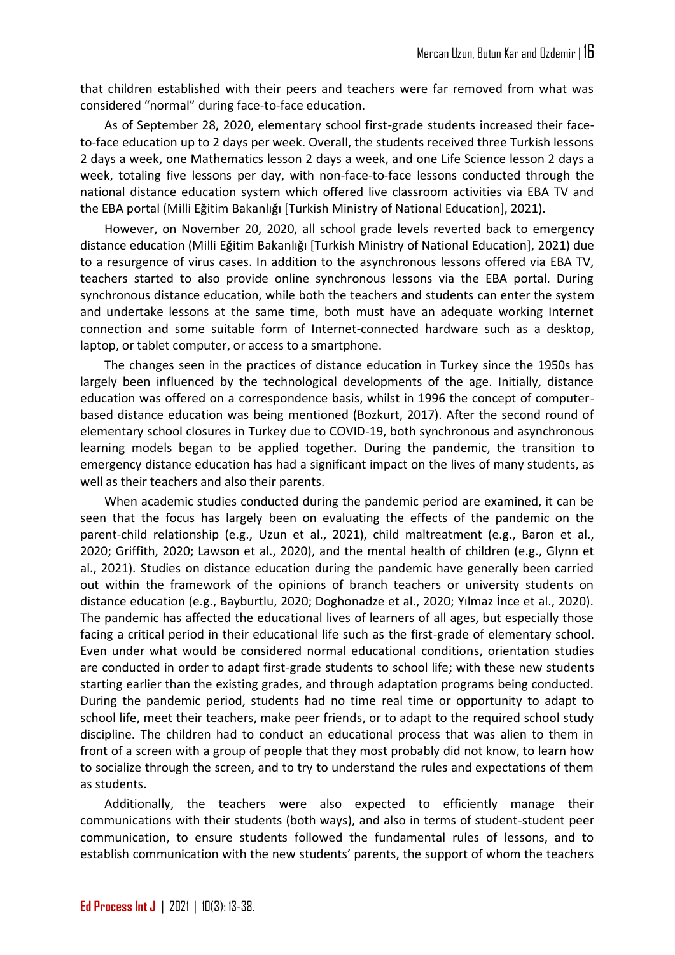that children established with their peers and teachers were far removed from what was considered "normal" during face-to-face education.

As of September 28, 2020, elementary school first-grade students increased their faceto-face education up to 2 days per week. Overall, the students received three Turkish lessons 2 days a week, one Mathematics lesson 2 days a week, and one Life Science lesson 2 days a week, totaling five lessons per day, with non-face-to-face lessons conducted through the national distance education system which offered live classroom activities via EBA TV and the EBA portal (Milli Eğitim Bakanlığı [Turkish Ministry of National Education], 2021).

However, on November 20, 2020, all school grade levels reverted back to emergency distance education (Milli Eğitim Bakanlığı [Turkish Ministry of National Education], 2021) due to a resurgence of virus cases. In addition to the asynchronous lessons offered via EBA TV, teachers started to also provide online synchronous lessons via the EBA portal. During synchronous distance education, while both the teachers and students can enter the system and undertake lessons at the same time, both must have an adequate working Internet connection and some suitable form of Internet-connected hardware such as a desktop, laptop, or tablet computer, or access to a smartphone.

The changes seen in the practices of distance education in Turkey since the 1950s has largely been influenced by the technological developments of the age. Initially, distance education was offered on a correspondence basis, whilst in 1996 the concept of computerbased distance education was being mentioned (Bozkurt, 2017). After the second round of elementary school closures in Turkey due to COVID-19, both synchronous and asynchronous learning models began to be applied together. During the pandemic, the transition to emergency distance education has had a significant impact on the lives of many students, as well as their teachers and also their parents.

When academic studies conducted during the pandemic period are examined, it can be seen that the focus has largely been on evaluating the effects of the pandemic on the parent-child relationship (e.g., Uzun et al., 2021), child maltreatment (e.g., Baron et al., 2020; Griffith, 2020; Lawson et al., 2020), and the mental health of children (e.g., Glynn et al., 2021). Studies on distance education during the pandemic have generally been carried out within the framework of the opinions of branch teachers or university students on distance education (e.g., Bayburtlu, 2020; Doghonadze et al., 2020; Yılmaz İnce et al., 2020). The pandemic has affected the educational lives of learners of all ages, but especially those facing a critical period in their educational life such as the first-grade of elementary school. Even under what would be considered normal educational conditions, orientation studies are conducted in order to adapt first-grade students to school life; with these new students starting earlier than the existing grades, and through adaptation programs being conducted. During the pandemic period, students had no time real time or opportunity to adapt to school life, meet their teachers, make peer friends, or to adapt to the required school study discipline. The children had to conduct an educational process that was alien to them in front of a screen with a group of people that they most probably did not know, to learn how to socialize through the screen, and to try to understand the rules and expectations of them as students.

Additionally, the teachers were also expected to efficiently manage their communications with their students (both ways), and also in terms of student-student peer communication, to ensure students followed the fundamental rules of lessons, and to establish communication with the new students' parents, the support of whom the teachers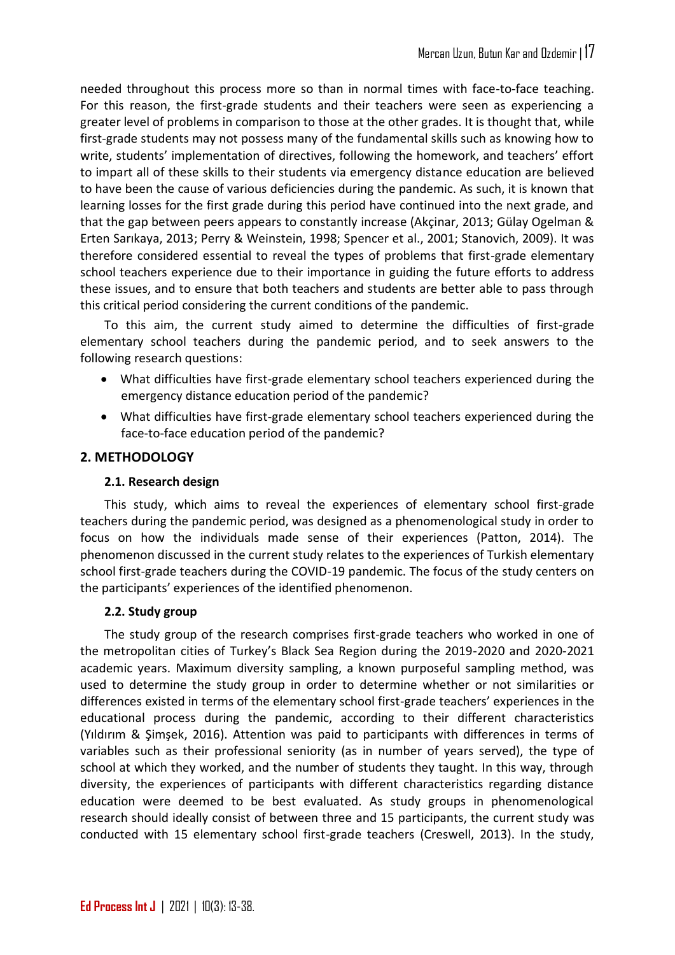needed throughout this process more so than in normal times with face-to-face teaching. For this reason, the first-grade students and their teachers were seen as experiencing a greater level of problems in comparison to those at the other grades. It is thought that, while first-grade students may not possess many of the fundamental skills such as knowing how to write, students' implementation of directives, following the homework, and teachers' effort to impart all of these skills to their students via emergency distance education are believed to have been the cause of various deficiencies during the pandemic. As such, it is known that learning losses for the first grade during this period have continued into the next grade, and that the gap between peers appears to constantly increase (Akçinar, 2013; Gülay Ogelman & Erten Sarıkaya, 2013; Perry & Weinstein, 1998; Spencer et al., 2001; Stanovich, 2009). It was therefore considered essential to reveal the types of problems that first-grade elementary school teachers experience due to their importance in guiding the future efforts to address these issues, and to ensure that both teachers and students are better able to pass through this critical period considering the current conditions of the pandemic.

To this aim, the current study aimed to determine the difficulties of first-grade elementary school teachers during the pandemic period, and to seek answers to the following research questions:

- What difficulties have first-grade elementary school teachers experienced during the emergency distance education period of the pandemic?
- What difficulties have first-grade elementary school teachers experienced during the face-to-face education period of the pandemic?

# **2. METHODOLOGY**

## **2.1. Research design**

This study, which aims to reveal the experiences of elementary school first-grade teachers during the pandemic period, was designed as a phenomenological study in order to focus on how the individuals made sense of their experiences (Patton, 2014). The phenomenon discussed in the current study relates to the experiences of Turkish elementary school first-grade teachers during the COVID-19 pandemic. The focus of the study centers on the participants' experiences of the identified phenomenon.

## **2.2. Study group**

The study group of the research comprises first-grade teachers who worked in one of the metropolitan cities of Turkey's Black Sea Region during the 2019-2020 and 2020-2021 academic years. Maximum diversity sampling, a known purposeful sampling method, was used to determine the study group in order to determine whether or not similarities or differences existed in terms of the elementary school first-grade teachers' experiences in the educational process during the pandemic, according to their different characteristics (Yıldırım & Şimşek, 2016). Attention was paid to participants with differences in terms of variables such as their professional seniority (as in number of years served), the type of school at which they worked, and the number of students they taught. In this way, through diversity, the experiences of participants with different characteristics regarding distance education were deemed to be best evaluated. As study groups in phenomenological research should ideally consist of between three and 15 participants, the current study was conducted with 15 elementary school first-grade teachers (Creswell, 2013). In the study,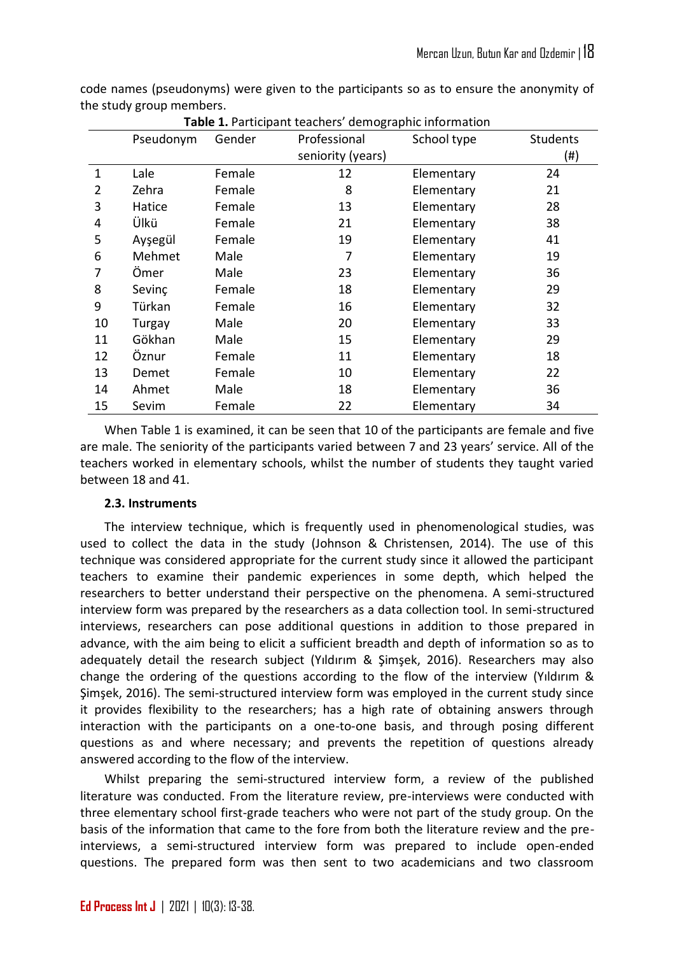code names (pseudonyms) were given to the participants so as to ensure the anonymity of the study group members.

|    | Pseudonym | Gender | Professional      | School type | <b>Students</b> |
|----|-----------|--------|-------------------|-------------|-----------------|
|    |           |        | seniority (years) |             | (#)             |
| 1  | Lale      | Female | 12                | Elementary  | 24              |
| 2  | Zehra     | Female | 8                 | Elementary  | 21              |
| 3  | Hatice    | Female | 13                | Elementary  | 28              |
| 4  | Ülkü      | Female | 21                | Elementary  | 38              |
| 5  | Ayşegül   | Female | 19                | Elementary  | 41              |
| 6  | Mehmet    | Male   | 7                 | Elementary  | 19              |
| 7  | Ömer      | Male   | 23                | Elementary  | 36              |
| 8  | Sevinc    | Female | 18                | Elementary  | 29              |
| 9  | Türkan    | Female | 16                | Elementary  | 32              |
| 10 | Turgay    | Male   | 20                | Elementary  | 33              |
| 11 | Gökhan    | Male   | 15                | Elementary  | 29              |
| 12 | Öznur     | Female | 11                | Elementary  | 18              |
| 13 | Demet     | Female | 10                | Elementary  | 22              |
| 14 | Ahmet     | Male   | 18                | Elementary  | 36              |
| 15 | Sevim     | Female | 22                | Elementary  | 34              |

**Table 1.** Participant teachers' demographic information

When Table 1 is examined, it can be seen that 10 of the participants are female and five are male. The seniority of the participants varied between 7 and 23 years' service. All of the teachers worked in elementary schools, whilst the number of students they taught varied between 18 and 41.

#### **2.3. Instruments**

The interview technique, which is frequently used in phenomenological studies, was used to collect the data in the study (Johnson & Christensen, 2014). The use of this technique was considered appropriate for the current study since it allowed the participant teachers to examine their pandemic experiences in some depth, which helped the researchers to better understand their perspective on the phenomena. A semi-structured interview form was prepared by the researchers as a data collection tool. In semi-structured interviews, researchers can pose additional questions in addition to those prepared in advance, with the aim being to elicit a sufficient breadth and depth of information so as to adequately detail the research subject (Yıldırım & Şimşek, 2016). Researchers may also change the ordering of the questions according to the flow of the interview (Yıldırım & Şimşek, 2016). The semi-structured interview form was employed in the current study since it provides flexibility to the researchers; has a high rate of obtaining answers through interaction with the participants on a one-to-one basis, and through posing different questions as and where necessary; and prevents the repetition of questions already answered according to the flow of the interview.

Whilst preparing the semi-structured interview form, a review of the published literature was conducted. From the literature review, pre-interviews were conducted with three elementary school first-grade teachers who were not part of the study group. On the basis of the information that came to the fore from both the literature review and the preinterviews, a semi-structured interview form was prepared to include open-ended questions. The prepared form was then sent to two academicians and two classroom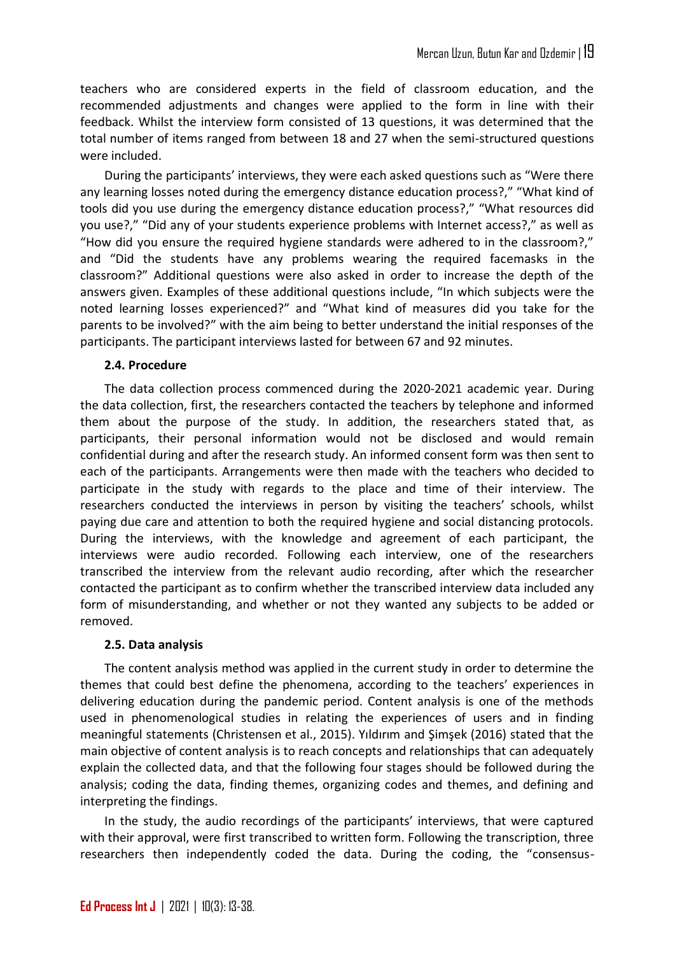teachers who are considered experts in the field of classroom education, and the recommended adjustments and changes were applied to the form in line with their feedback. Whilst the interview form consisted of 13 questions, it was determined that the total number of items ranged from between 18 and 27 when the semi-structured questions were included.

During the participants' interviews, they were each asked questions such as "Were there any learning losses noted during the emergency distance education process?," "What kind of tools did you use during the emergency distance education process?," "What resources did you use?," "Did any of your students experience problems with Internet access?," as well as "How did you ensure the required hygiene standards were adhered to in the classroom?," and "Did the students have any problems wearing the required facemasks in the classroom?" Additional questions were also asked in order to increase the depth of the answers given. Examples of these additional questions include, "In which subjects were the noted learning losses experienced?" and "What kind of measures did you take for the parents to be involved?" with the aim being to better understand the initial responses of the participants. The participant interviews lasted for between 67 and 92 minutes.

## **2.4. Procedure**

The data collection process commenced during the 2020-2021 academic year. During the data collection, first, the researchers contacted the teachers by telephone and informed them about the purpose of the study. In addition, the researchers stated that, as participants, their personal information would not be disclosed and would remain confidential during and after the research study. An informed consent form was then sent to each of the participants. Arrangements were then made with the teachers who decided to participate in the study with regards to the place and time of their interview. The researchers conducted the interviews in person by visiting the teachers' schools, whilst paying due care and attention to both the required hygiene and social distancing protocols. During the interviews, with the knowledge and agreement of each participant, the interviews were audio recorded. Following each interview, one of the researchers transcribed the interview from the relevant audio recording, after which the researcher contacted the participant as to confirm whether the transcribed interview data included any form of misunderstanding, and whether or not they wanted any subjects to be added or removed.

## **2.5. Data analysis**

The content analysis method was applied in the current study in order to determine the themes that could best define the phenomena, according to the teachers' experiences in delivering education during the pandemic period. Content analysis is one of the methods used in phenomenological studies in relating the experiences of users and in finding meaningful statements (Christensen et al., 2015). Yıldırım and Şimşek (2016) stated that the main objective of content analysis is to reach concepts and relationships that can adequately explain the collected data, and that the following four stages should be followed during the analysis; coding the data, finding themes, organizing codes and themes, and defining and interpreting the findings.

In the study, the audio recordings of the participants' interviews, that were captured with their approval, were first transcribed to written form. Following the transcription, three researchers then independently coded the data. During the coding, the "consensus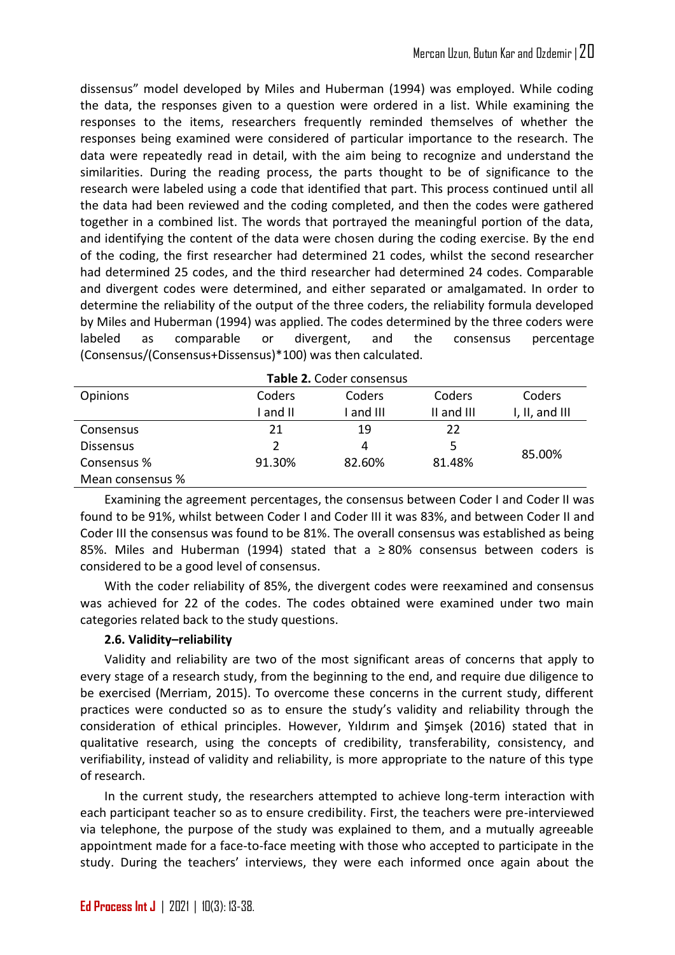dissensus" model developed by Miles and Huberman (1994) was employed. While coding the data, the responses given to a question were ordered in a list. While examining the responses to the items, researchers frequently reminded themselves of whether the responses being examined were considered of particular importance to the research. The data were repeatedly read in detail, with the aim being to recognize and understand the similarities. During the reading process, the parts thought to be of significance to the research were labeled using a code that identified that part. This process continued until all the data had been reviewed and the coding completed, and then the codes were gathered together in a combined list. The words that portrayed the meaningful portion of the data, and identifying the content of the data were chosen during the coding exercise. By the end of the coding, the first researcher had determined 21 codes, whilst the second researcher had determined 25 codes, and the third researcher had determined 24 codes. Comparable and divergent codes were determined, and either separated or amalgamated. In order to determine the reliability of the output of the three coders, the reliability formula developed by Miles and Huberman (1994) was applied. The codes determined by the three coders were labeled as comparable or divergent, and the consensus percentage (Consensus/(Consensus+Dissensus)\*100) was then calculated.

| Table 2. Coder consensus |        |         |            |                |
|--------------------------|--------|---------|------------|----------------|
| <b>Opinions</b>          | Coders | Coders  | Coders     | Coders         |
|                          | and II | and III | II and III | I, II, and III |
| Consensus                | 21     | 19      | 22         |                |
| <b>Dissensus</b>         |        | 4       |            |                |
| Consensus %              | 91.30% | 82.60%  | 81.48%     | 85.00%         |
| Mean consensus %         |        |         |            |                |

Examining the agreement percentages, the consensus between Coder I and Coder II was found to be 91%, whilst between Coder I and Coder III it was 83%, and between Coder II and Coder III the consensus was found to be 81%. The overall consensus was established as being 85%. Miles and Huberman (1994) stated that a ≥ 80% consensus between coders is considered to be a good level of consensus.

With the coder reliability of 85%, the divergent codes were reexamined and consensus was achieved for 22 of the codes. The codes obtained were examined under two main categories related back to the study questions.

# **2.6. Validity–reliability**

Validity and reliability are two of the most significant areas of concerns that apply to every stage of a research study, from the beginning to the end, and require due diligence to be exercised (Merriam, 2015). To overcome these concerns in the current study, different practices were conducted so as to ensure the study's validity and reliability through the consideration of ethical principles. However, Yıldırım and Şimşek (2016) stated that in qualitative research, using the concepts of credibility, transferability, consistency, and verifiability, instead of validity and reliability, is more appropriate to the nature of this type of research.

In the current study, the researchers attempted to achieve long-term interaction with each participant teacher so as to ensure credibility. First, the teachers were pre-interviewed via telephone, the purpose of the study was explained to them, and a mutually agreeable appointment made for a face-to-face meeting with those who accepted to participate in the study. During the teachers' interviews, they were each informed once again about the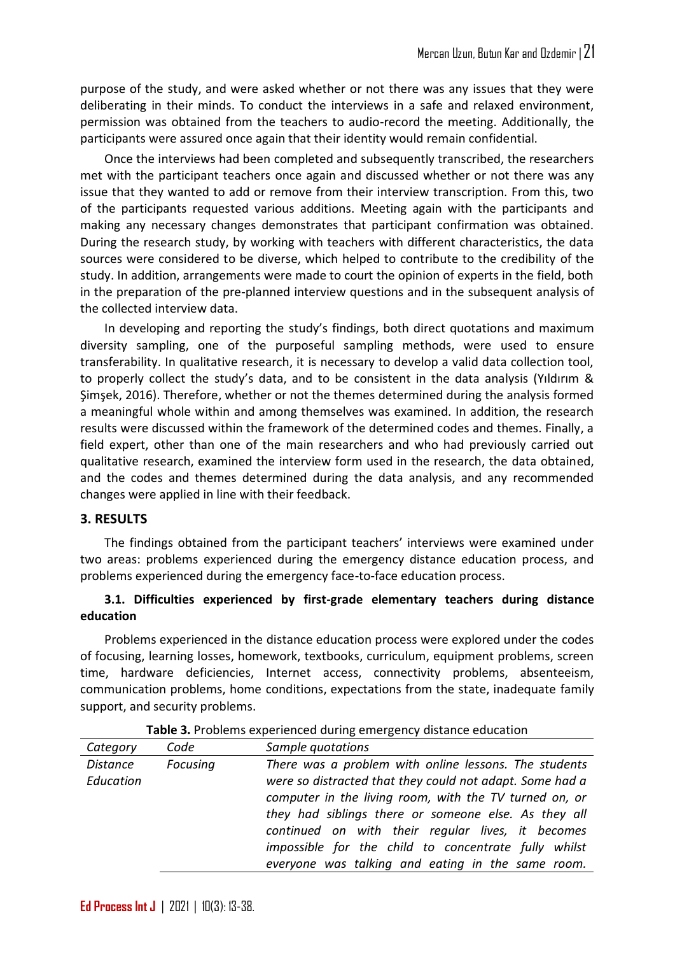purpose of the study, and were asked whether or not there was any issues that they were deliberating in their minds. To conduct the interviews in a safe and relaxed environment, permission was obtained from the teachers to audio-record the meeting. Additionally, the participants were assured once again that their identity would remain confidential.

Once the interviews had been completed and subsequently transcribed, the researchers met with the participant teachers once again and discussed whether or not there was any issue that they wanted to add or remove from their interview transcription. From this, two of the participants requested various additions. Meeting again with the participants and making any necessary changes demonstrates that participant confirmation was obtained. During the research study, by working with teachers with different characteristics, the data sources were considered to be diverse, which helped to contribute to the credibility of the study. In addition, arrangements were made to court the opinion of experts in the field, both in the preparation of the pre-planned interview questions and in the subsequent analysis of the collected interview data.

In developing and reporting the study's findings, both direct quotations and maximum diversity sampling, one of the purposeful sampling methods, were used to ensure transferability. In qualitative research, it is necessary to develop a valid data collection tool, to properly collect the study's data, and to be consistent in the data analysis (Yıldırım & Şimşek, 2016). Therefore, whether or not the themes determined during the analysis formed a meaningful whole within and among themselves was examined. In addition, the research results were discussed within the framework of the determined codes and themes. Finally, a field expert, other than one of the main researchers and who had previously carried out qualitative research, examined the interview form used in the research, the data obtained, and the codes and themes determined during the data analysis, and any recommended changes were applied in line with their feedback.

#### **3. RESULTS**

The findings obtained from the participant teachers' interviews were examined under two areas: problems experienced during the emergency distance education process, and problems experienced during the emergency face-to-face education process.

## **3.1. Difficulties experienced by first-grade elementary teachers during distance education**

Problems experienced in the distance education process were explored under the codes of focusing, learning losses, homework, textbooks, curriculum, equipment problems, screen time, hardware deficiencies, Internet access, connectivity problems, absenteeism, communication problems, home conditions, expectations from the state, inadequate family support, and security problems.

| Category                     | Code     | Sample quotations                                                                                                                                                                                                                                                                                                                                                                                     |
|------------------------------|----------|-------------------------------------------------------------------------------------------------------------------------------------------------------------------------------------------------------------------------------------------------------------------------------------------------------------------------------------------------------------------------------------------------------|
| <b>Distance</b><br>Education | Focusing | There was a problem with online lessons. The students<br>were so distracted that they could not adapt. Some had a<br>computer in the living room, with the TV turned on, or<br>they had siblings there or someone else. As they all<br>continued on with their regular lives, it becomes<br>impossible for the child to concentrate fully whilst<br>everyone was talking and eating in the same room. |

**Table 3.** Problems experienced during emergency distance education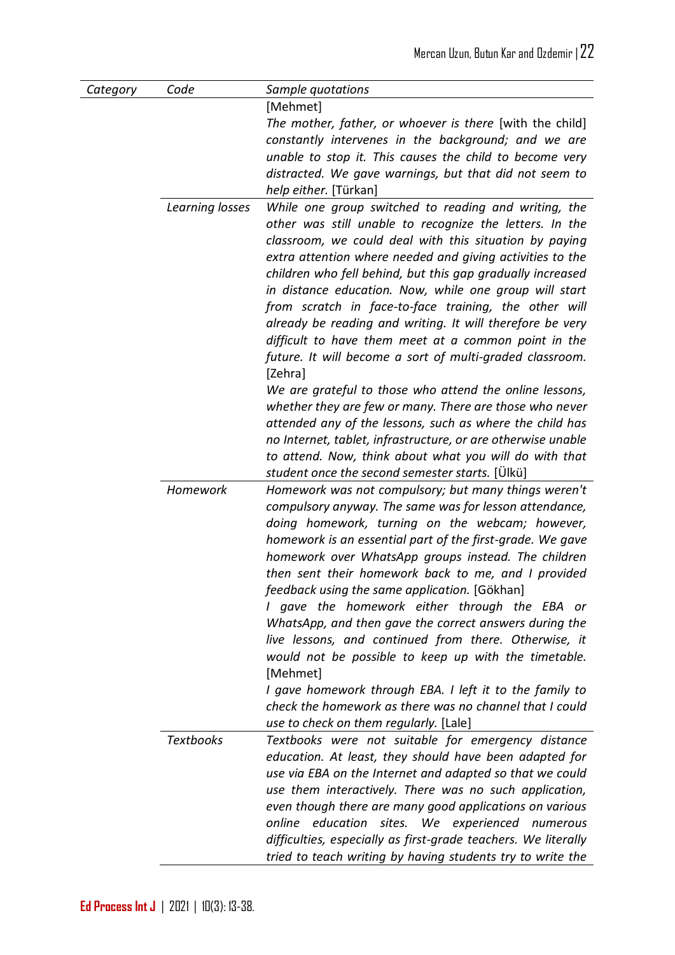| Category | Code             | Sample quotations                                                                                               |
|----------|------------------|-----------------------------------------------------------------------------------------------------------------|
|          |                  | [Mehmet]                                                                                                        |
|          |                  | The mother, father, or whoever is there [with the child]                                                        |
|          |                  | constantly intervenes in the background; and we are                                                             |
|          |                  | unable to stop it. This causes the child to become very                                                         |
|          |                  | distracted. We gave warnings, but that did not seem to                                                          |
|          |                  | help either. [Türkan]                                                                                           |
|          | Learning losses  | While one group switched to reading and writing, the<br>other was still unable to recognize the letters. In the |
|          |                  | classroom, we could deal with this situation by paying                                                          |
|          |                  | extra attention where needed and giving activities to the                                                       |
|          |                  | children who fell behind, but this gap gradually increased                                                      |
|          |                  | in distance education. Now, while one group will start                                                          |
|          |                  | from scratch in face-to-face training, the other will                                                           |
|          |                  | already be reading and writing. It will therefore be very                                                       |
|          |                  | difficult to have them meet at a common point in the                                                            |
|          |                  | future. It will become a sort of multi-graded classroom.                                                        |
|          |                  | [Zehra]<br>We are grateful to those who attend the online lessons,                                              |
|          |                  | whether they are few or many. There are those who never                                                         |
|          |                  | attended any of the lessons, such as where the child has                                                        |
|          |                  | no Internet, tablet, infrastructure, or are otherwise unable                                                    |
|          |                  | to attend. Now, think about what you will do with that                                                          |
|          |                  | student once the second semester starts. [Ülkü]                                                                 |
|          | Homework         | Homework was not compulsory; but many things weren't                                                            |
|          |                  | compulsory anyway. The same was for lesson attendance,                                                          |
|          |                  | doing homework, turning on the webcam; however,                                                                 |
|          |                  | homework is an essential part of the first-grade. We gave                                                       |
|          |                  | homework over WhatsApp groups instead. The children                                                             |
|          |                  | then sent their homework back to me, and I provided                                                             |
|          |                  | feedback using the same application. [Gökhan]                                                                   |
|          |                  | I gave the homework either through the EBA or                                                                   |
|          |                  | WhatsApp, and then gave the correct answers during the                                                          |
|          |                  | live lessons, and continued from there. Otherwise, it                                                           |
|          |                  | would not be possible to keep up with the timetable.                                                            |
|          |                  | [Mehmet]                                                                                                        |
|          |                  | I gave homework through EBA. I left it to the family to                                                         |
|          |                  | check the homework as there was no channel that I could                                                         |
|          |                  | use to check on them regularly. [Lale]                                                                          |
|          | <b>Textbooks</b> | Textbooks were not suitable for emergency distance                                                              |
|          |                  | education. At least, they should have been adapted for                                                          |
|          |                  | use via EBA on the Internet and adapted so that we could                                                        |
|          |                  | use them interactively. There was no such application,                                                          |
|          |                  | even though there are many good applications on various                                                         |
|          |                  | online education sites. We experienced numerous                                                                 |
|          |                  | difficulties, especially as first-grade teachers. We literally                                                  |
|          |                  | tried to teach writing by having students try to write the                                                      |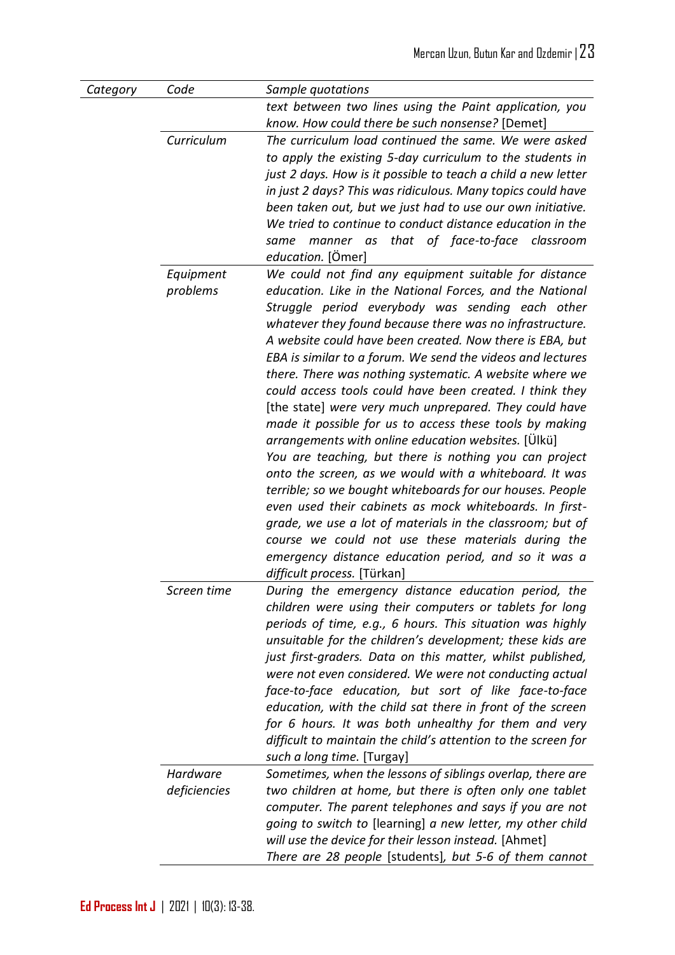| Category | Code                     | Sample quotations                                                                                                                                                                                                                                                                                                                                                                                                                                                                                                                                                                                                                                                                                                                                                                                                                                                                                                                                                                                                                                                                                                    |
|----------|--------------------------|----------------------------------------------------------------------------------------------------------------------------------------------------------------------------------------------------------------------------------------------------------------------------------------------------------------------------------------------------------------------------------------------------------------------------------------------------------------------------------------------------------------------------------------------------------------------------------------------------------------------------------------------------------------------------------------------------------------------------------------------------------------------------------------------------------------------------------------------------------------------------------------------------------------------------------------------------------------------------------------------------------------------------------------------------------------------------------------------------------------------|
|          |                          | text between two lines using the Paint application, you<br>know. How could there be such nonsense? [Demet]                                                                                                                                                                                                                                                                                                                                                                                                                                                                                                                                                                                                                                                                                                                                                                                                                                                                                                                                                                                                           |
|          | Curriculum               | The curriculum load continued the same. We were asked<br>to apply the existing 5-day curriculum to the students in<br>just 2 days. How is it possible to teach a child a new letter<br>in just 2 days? This was ridiculous. Many topics could have<br>been taken out, but we just had to use our own initiative.<br>We tried to continue to conduct distance education in the<br>manner as that of face-to-face classroom<br>same<br>education. [Ömer]                                                                                                                                                                                                                                                                                                                                                                                                                                                                                                                                                                                                                                                               |
|          | Equipment<br>problems    | We could not find any equipment suitable for distance<br>education. Like in the National Forces, and the National<br>Struggle period everybody was sending each other<br>whatever they found because there was no infrastructure.<br>A website could have been created. Now there is EBA, but<br>EBA is similar to a forum. We send the videos and lectures<br>there. There was nothing systematic. A website where we<br>could access tools could have been created. I think they<br>[the state] were very much unprepared. They could have<br>made it possible for us to access these tools by making<br>arrangements with online education websites. [Ulkü]<br>You are teaching, but there is nothing you can project<br>onto the screen, as we would with a whiteboard. It was<br>terrible; so we bought whiteboards for our houses. People<br>even used their cabinets as mock whiteboards. In first-<br>grade, we use a lot of materials in the classroom; but of<br>course we could not use these materials during the<br>emergency distance education period, and so it was a<br>difficult process. [Türkan] |
|          | Screen time              | During the emergency distance education period, the<br>children were using their computers or tablets for long<br>periods of time, e.g., 6 hours. This situation was highly<br>unsuitable for the children's development; these kids are<br>just first-graders. Data on this matter, whilst published,<br>were not even considered. We were not conducting actual<br>face-to-face education, but sort of like face-to-face<br>education, with the child sat there in front of the screen<br>for 6 hours. It was both unhealthy for them and very<br>difficult to maintain the child's attention to the screen for<br>such a long time. [Turgay]                                                                                                                                                                                                                                                                                                                                                                                                                                                                      |
|          | Hardware<br>deficiencies | Sometimes, when the lessons of siblings overlap, there are<br>two children at home, but there is often only one tablet<br>computer. The parent telephones and says if you are not<br>going to switch to [learning] a new letter, my other child<br>will use the device for their lesson instead. [Ahmet]<br>There are 28 people [students], but 5-6 of them cannot                                                                                                                                                                                                                                                                                                                                                                                                                                                                                                                                                                                                                                                                                                                                                   |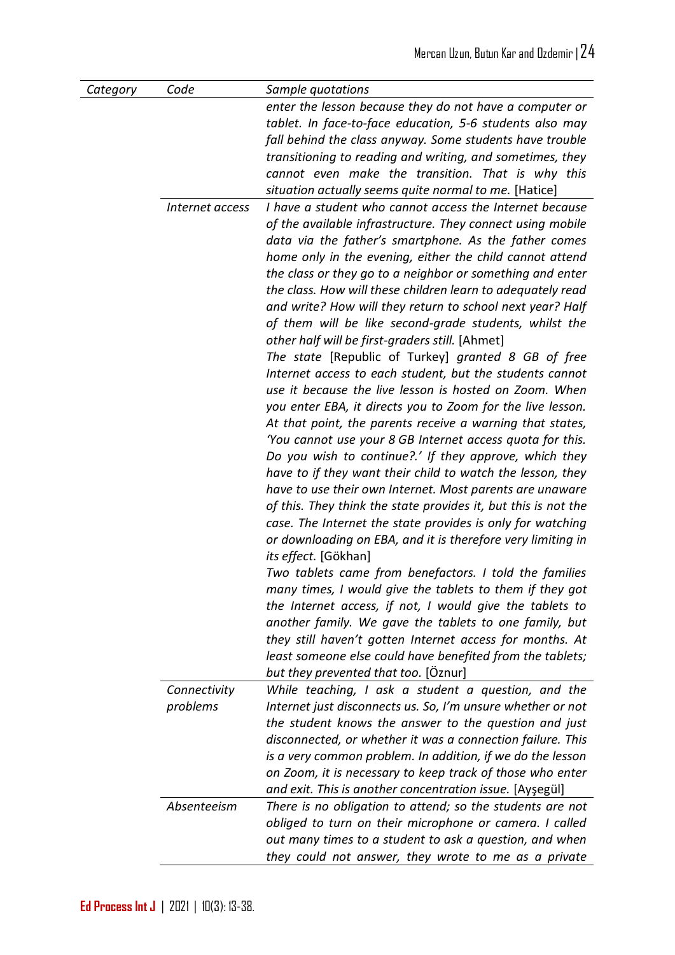| Category | Code<br>Internet access  | Sample quotations<br>enter the lesson because they do not have a computer or<br>tablet. In face-to-face education, 5-6 students also may<br>fall behind the class anyway. Some students have trouble<br>transitioning to reading and writing, and sometimes, they<br>cannot even make the transition. That is why this<br>situation actually seems quite normal to me. [Hatice]<br>I have a student who cannot access the Internet because<br>of the available infrastructure. They connect using mobile<br>data via the father's smartphone. As the father comes<br>home only in the evening, either the child cannot attend<br>the class or they go to a neighbor or something and enter<br>the class. How will these children learn to adequately read<br>and write? How will they return to school next year? Half<br>of them will be like second-grade students, whilst the<br>other half will be first-graders still. [Ahmet]<br>The state [Republic of Turkey] granted 8 GB of free<br>Internet access to each student, but the students cannot |
|----------|--------------------------|--------------------------------------------------------------------------------------------------------------------------------------------------------------------------------------------------------------------------------------------------------------------------------------------------------------------------------------------------------------------------------------------------------------------------------------------------------------------------------------------------------------------------------------------------------------------------------------------------------------------------------------------------------------------------------------------------------------------------------------------------------------------------------------------------------------------------------------------------------------------------------------------------------------------------------------------------------------------------------------------------------------------------------------------------------|
|          |                          | use it because the live lesson is hosted on Zoom. When<br>you enter EBA, it directs you to Zoom for the live lesson.<br>At that point, the parents receive a warning that states,<br>'You cannot use your 8 GB Internet access quota for this.<br>Do you wish to continue?.' If they approve, which they<br>have to if they want their child to watch the lesson, they<br>have to use their own Internet. Most parents are unaware<br>of this. They think the state provides it, but this is not the<br>case. The Internet the state provides is only for watching<br>or downloading on EBA, and it is therefore very limiting in<br><i>its effect.</i> [Gökhan]<br>Two tablets came from benefactors. I told the families<br>many times, I would give the tablets to them if they got                                                                                                                                                                                                                                                                 |
|          |                          | the Internet access, if not, I would give the tablets to<br>another family. We gave the tablets to one family, but<br>they still haven't gotten Internet access for months. At<br>least someone else could have benefited from the tablets;<br>but they prevented that too. [Oznur]                                                                                                                                                                                                                                                                                                                                                                                                                                                                                                                                                                                                                                                                                                                                                                    |
|          | Connectivity<br>problems | While teaching, I ask a student a question, and the<br>Internet just disconnects us. So, I'm unsure whether or not<br>the student knows the answer to the question and just<br>disconnected, or whether it was a connection failure. This<br>is a very common problem. In addition, if we do the lesson<br>on Zoom, it is necessary to keep track of those who enter<br>and exit. This is another concentration issue. [Aysegül]                                                                                                                                                                                                                                                                                                                                                                                                                                                                                                                                                                                                                       |
|          | Absenteeism              | There is no obligation to attend; so the students are not<br>obliged to turn on their microphone or camera. I called<br>out many times to a student to ask a question, and when<br>they could not answer, they wrote to me as a private                                                                                                                                                                                                                                                                                                                                                                                                                                                                                                                                                                                                                                                                                                                                                                                                                |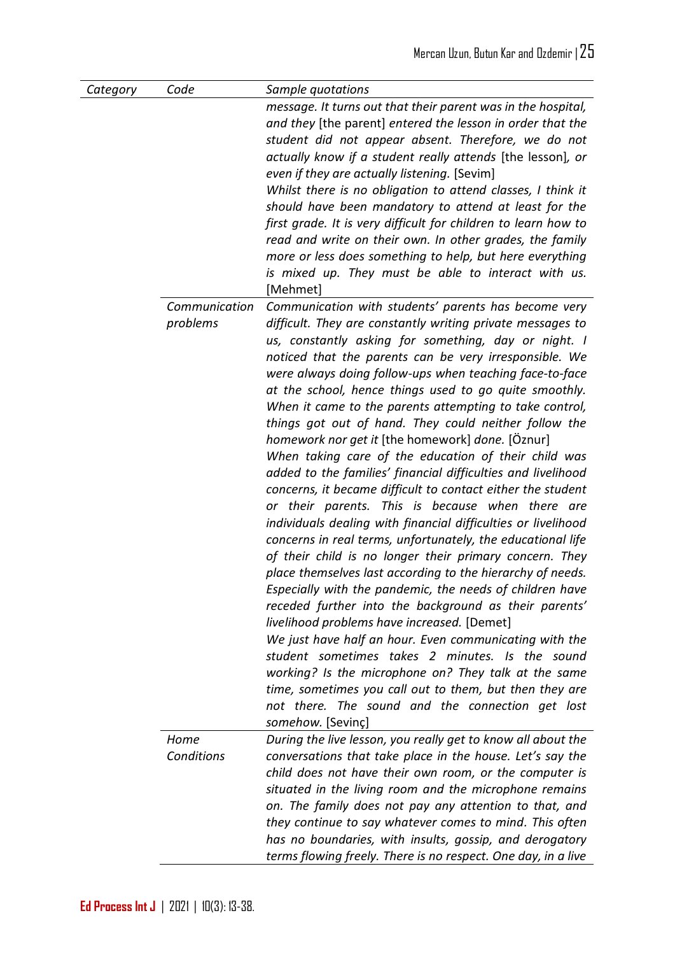| Category | Code                      | Sample quotations                                                                                                                                                                                                                                                                                                                                                                                                                                                                                                                                                                                                                                                                                                                                                                                                                                                                                                                                                                                                                                                                                                                                                                                                                                                                                                                                                                                                                                                                             |
|----------|---------------------------|-----------------------------------------------------------------------------------------------------------------------------------------------------------------------------------------------------------------------------------------------------------------------------------------------------------------------------------------------------------------------------------------------------------------------------------------------------------------------------------------------------------------------------------------------------------------------------------------------------------------------------------------------------------------------------------------------------------------------------------------------------------------------------------------------------------------------------------------------------------------------------------------------------------------------------------------------------------------------------------------------------------------------------------------------------------------------------------------------------------------------------------------------------------------------------------------------------------------------------------------------------------------------------------------------------------------------------------------------------------------------------------------------------------------------------------------------------------------------------------------------|
|          |                           | message. It turns out that their parent was in the hospital,<br>and they [the parent] entered the lesson in order that the<br>student did not appear absent. Therefore, we do not<br>actually know if a student really attends [the lesson], or<br>even if they are actually listening. [Sevim]<br>Whilst there is no obligation to attend classes, I think it<br>should have been mandatory to attend at least for the<br>first grade. It is very difficult for children to learn how to<br>read and write on their own. In other grades, the family<br>more or less does something to help, but here everything<br>is mixed up. They must be able to interact with us.<br>[Mehmet]                                                                                                                                                                                                                                                                                                                                                                                                                                                                                                                                                                                                                                                                                                                                                                                                          |
|          | Communication<br>problems | Communication with students' parents has become very<br>difficult. They are constantly writing private messages to<br>us, constantly asking for something, day or night. I<br>noticed that the parents can be very irresponsible. We<br>were always doing follow-ups when teaching face-to-face<br>at the school, hence things used to go quite smoothly.<br>When it came to the parents attempting to take control,<br>things got out of hand. They could neither follow the<br>homework nor get it [the homework] done. [Öznur]<br>When taking care of the education of their child was<br>added to the families' financial difficulties and livelihood<br>concerns, it became difficult to contact either the student<br>or their parents. This is because when there are<br>individuals dealing with financial difficulties or livelihood<br>concerns in real terms, unfortunately, the educational life<br>of their child is no longer their primary concern. They<br>place themselves last according to the hierarchy of needs.<br>Especially with the pandemic, the needs of children have<br>receded further into the background as their parents'<br>livelihood problems have increased. [Demet]<br>We just have half an hour. Even communicating with the<br>student sometimes takes 2 minutes. Is the sound<br>working? Is the microphone on? They talk at the same<br>time, sometimes you call out to them, but then they are<br>not there. The sound and the connection get lost |
|          | Home<br>Conditions        | somehow. [Sevinç]<br>During the live lesson, you really get to know all about the<br>conversations that take place in the house. Let's say the<br>child does not have their own room, or the computer is<br>situated in the living room and the microphone remains<br>on. The family does not pay any attention to that, and<br>they continue to say whatever comes to mind. This often<br>has no boundaries, with insults, gossip, and derogatory<br>terms flowing freely. There is no respect. One day, in a live                                                                                                                                                                                                                                                                                                                                                                                                                                                                                                                                                                                                                                                                                                                                                                                                                                                                                                                                                                           |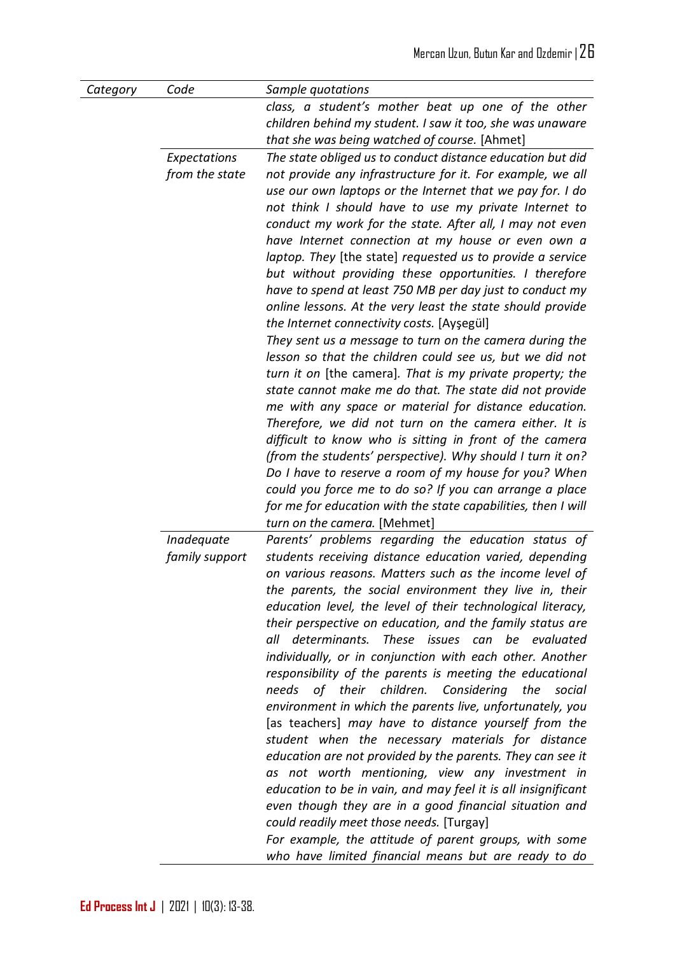| Category | Code           | Sample quotations                                             |
|----------|----------------|---------------------------------------------------------------|
|          |                | class, a student's mother beat up one of the other            |
|          |                | children behind my student. I saw it too, she was unaware     |
|          |                | that she was being watched of course. [Ahmet]                 |
|          | Expectations   | The state obliged us to conduct distance education but did    |
|          | from the state | not provide any infrastructure for it. For example, we all    |
|          |                | use our own laptops or the Internet that we pay for. I do     |
|          |                | not think I should have to use my private Internet to         |
|          |                | conduct my work for the state. After all, I may not even      |
|          |                | have Internet connection at my house or even own a            |
|          |                | laptop. They [the state] requested us to provide a service    |
|          |                | but without providing these opportunities. I therefore        |
|          |                | have to spend at least 750 MB per day just to conduct my      |
|          |                | online lessons. At the very least the state should provide    |
|          |                | the Internet connectivity costs. [Ayşegül]                    |
|          |                | They sent us a message to turn on the camera during the       |
|          |                | lesson so that the children could see us, but we did not      |
|          |                | turn it on [the camera]. That is my private property; the     |
|          |                | state cannot make me do that. The state did not provide       |
|          |                | me with any space or material for distance education.         |
|          |                | Therefore, we did not turn on the camera either. It is        |
|          |                | difficult to know who is sitting in front of the camera       |
|          |                | (from the students' perspective). Why should I turn it on?    |
|          |                | Do I have to reserve a room of my house for you? When         |
|          |                | could you force me to do so? If you can arrange a place       |
|          |                | for me for education with the state capabilities, then I will |
|          |                | turn on the camera. [Mehmet]                                  |
|          | Inadequate     | Parents' problems regarding the education status of           |
|          | family support | students receiving distance education varied, depending       |
|          |                | on various reasons. Matters such as the income level of       |
|          |                | the parents, the social environment they live in, their       |
|          |                | education level, the level of their technological literacy,   |
|          |                | their perspective on education, and the family status are     |
|          |                | These issues can be evaluated<br>all determinants.            |
|          |                | individually, or in conjunction with each other. Another      |
|          |                | responsibility of the parents is meeting the educational      |
|          |                | needs of their children. Considering the<br>social            |
|          |                | environment in which the parents live, unfortunately, you     |
|          |                | [as teachers] may have to distance yourself from the          |
|          |                | student when the necessary materials for distance             |
|          |                | education are not provided by the parents. They can see it    |
|          |                | as not worth mentioning, view any investment in               |
|          |                | education to be in vain, and may feel it is all insignificant |
|          |                | even though they are in a good financial situation and        |
|          |                | could readily meet those needs. [Turgay]                      |
|          |                | For example, the attitude of parent groups, with some         |
|          |                | who have limited financial means but are ready to do          |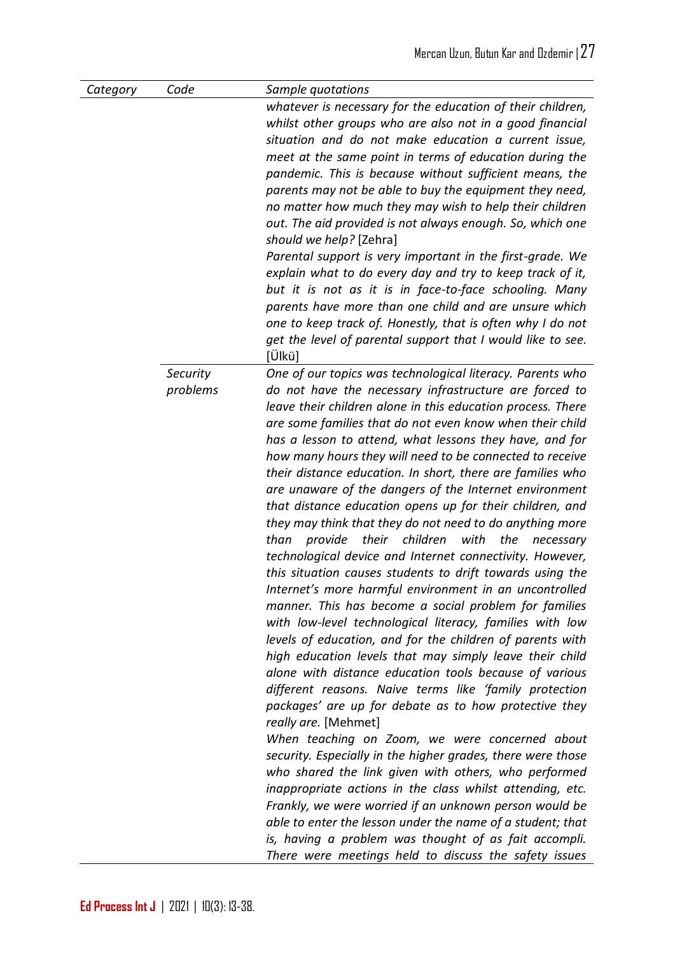| Category | Code     | Sample quotations                                             |
|----------|----------|---------------------------------------------------------------|
|          |          | whatever is necessary for the education of their children,    |
|          |          | whilst other groups who are also not in a good financial      |
|          |          | situation and do not make education a current issue,          |
|          |          | meet at the same point in terms of education during the       |
|          |          | pandemic. This is because without sufficient means, the       |
|          |          | parents may not be able to buy the equipment they need,       |
|          |          | no matter how much they may wish to help their children       |
|          |          | out. The aid provided is not always enough. So, which one     |
|          |          | should we help? [Zehra]                                       |
|          |          | Parental support is very important in the first-grade. We     |
|          |          | explain what to do every day and try to keep track of it,     |
|          |          | but it is not as it is in face-to-face schooling. Many        |
|          |          | parents have more than one child and are unsure which         |
|          |          | one to keep track of. Honestly, that is often why I do not    |
|          |          | get the level of parental support that I would like to see.   |
|          |          | $ Ü$ kü $ $                                                   |
|          | Security | One of our topics was technological literacy. Parents who     |
|          | problems | do not have the necessary infrastructure are forced to        |
|          |          | leave their children alone in this education process. There   |
|          |          | are some families that do not even know when their child      |
|          |          | has a lesson to attend, what lessons they have, and for       |
|          |          | how many hours they will need to be connected to receive      |
|          |          | their distance education. In short, there are families who    |
|          |          | are unaware of the dangers of the Internet environment        |
|          |          | that distance education opens up for their children, and      |
|          |          | they may think that they do not need to do anything more      |
|          |          | their children<br>with<br>the<br>than<br>provide<br>necessary |
|          |          | technological device and Internet connectivity. However,      |
|          |          | this situation causes students to drift towards using the     |
|          |          | Internet's more harmful environment in an uncontrolled        |
|          |          | manner. This has become a social problem for families         |
|          |          | with low-level technological literacy, families with low      |
|          |          | levels of education, and for the children of parents with     |
|          |          | high education levels that may simply leave their child       |
|          |          | alone with distance education tools because of various        |
|          |          | different reasons. Naive terms like 'family protection        |
|          |          | packages' are up for debate as to how protective they         |
|          |          | really are. [Mehmet]                                          |
|          |          | When teaching on Zoom, we were concerned about                |
|          |          | security. Especially in the higher grades, there were those   |
|          |          | who shared the link given with others, who performed          |
|          |          | inappropriate actions in the class whilst attending, etc.     |
|          |          | Frankly, we were worried if an unknown person would be        |
|          |          | able to enter the lesson under the name of a student; that    |
|          |          | is, having a problem was thought of as fait accompli.         |
|          |          | There were meetings held to discuss the safety issues         |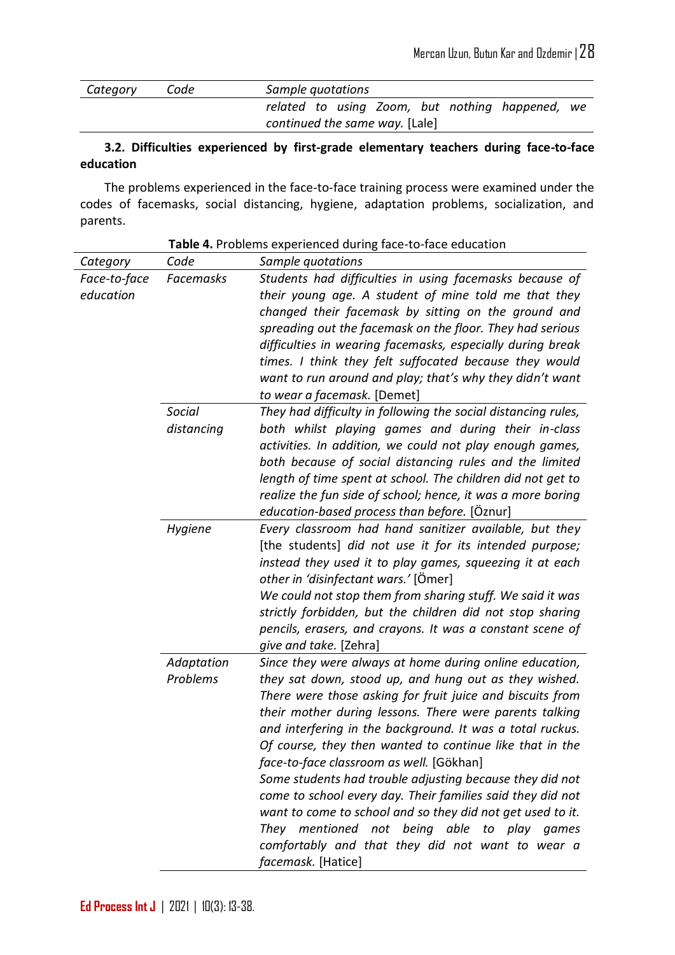| Category | Code | Sample quotations                               |  |
|----------|------|-------------------------------------------------|--|
|          |      | related to using Zoom, but nothing happened, we |  |
|          |      | continued the same way. [Lale]                  |  |

#### **3.2. Difficulties experienced by first-grade elementary teachers during face-to-face education**

The problems experienced in the face-to-face training process were examined under the codes of facemasks, social distancing, hygiene, adaptation problems, socialization, and parents.

| Category     | Code       | Sample quotations                                             |
|--------------|------------|---------------------------------------------------------------|
| Face-to-face | Facemasks  | Students had difficulties in using facemasks because of       |
| education    |            | their young age. A student of mine told me that they          |
|              |            | changed their facemask by sitting on the ground and           |
|              |            | spreading out the facemask on the floor. They had serious     |
|              |            | difficulties in wearing facemasks, especially during break    |
|              |            | times. I think they felt suffocated because they would        |
|              |            | want to run around and play; that's why they didn't want      |
|              |            | to wear a facemask. [Demet]                                   |
|              | Social     | They had difficulty in following the social distancing rules, |
|              | distancing | both whilst playing games and during their in-class           |
|              |            | activities. In addition, we could not play enough games,      |
|              |            | both because of social distancing rules and the limited       |
|              |            | length of time spent at school. The children did not get to   |
|              |            | realize the fun side of school; hence, it was a more boring   |
|              |            | education-based process than before. [Oznur]                  |
|              | Hygiene    | Every classroom had hand sanitizer available, but they        |
|              |            | [the students] did not use it for its intended purpose;       |
|              |            | instead they used it to play games, squeezing it at each      |
|              |            | other in 'disinfectant wars.' [Ömer]                          |
|              |            | We could not stop them from sharing stuff. We said it was     |
|              |            | strictly forbidden, but the children did not stop sharing     |
|              |            | pencils, erasers, and crayons. It was a constant scene of     |
|              |            | give and take. [Zehra]                                        |
|              | Adaptation | Since they were always at home during online education,       |
|              | Problems   | they sat down, stood up, and hung out as they wished.         |
|              |            | There were those asking for fruit juice and biscuits from     |
|              |            | their mother during lessons. There were parents talking       |
|              |            | and interfering in the background. It was a total ruckus.     |
|              |            | Of course, they then wanted to continue like that in the      |
|              |            | face-to-face classroom as well. [Gökhan]                      |
|              |            | Some students had trouble adjusting because they did not      |
|              |            | come to school every day. Their families said they did not    |
|              |            | want to come to school and so they did not get used to it.    |
|              |            | They mentioned not being able to play games                   |
|              |            | comfortably and that they did not want to wear a              |
|              |            | facemask. [Hatice]                                            |

**Table 4.** Problems experienced during face-to-face education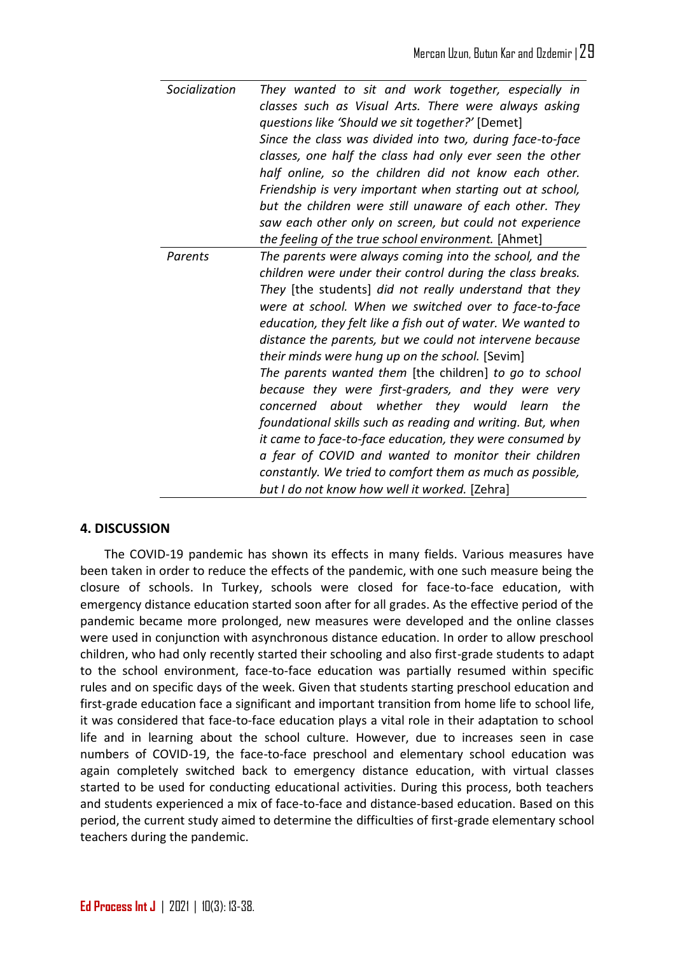| Socialization | They wanted to sit and work together, especially in<br>classes such as Visual Arts. There were always asking<br>questions like 'Should we sit together?' [Demet]<br>Since the class was divided into two, during face-to-face<br>classes, one half the class had only ever seen the other<br>half online, so the children did not know each other.<br>Friendship is very important when starting out at school,<br>but the children were still unaware of each other. They<br>saw each other only on screen, but could not experience<br>the feeling of the true school environment. [Ahmet]                                                                                                                                                                                                                                                                                                |
|---------------|---------------------------------------------------------------------------------------------------------------------------------------------------------------------------------------------------------------------------------------------------------------------------------------------------------------------------------------------------------------------------------------------------------------------------------------------------------------------------------------------------------------------------------------------------------------------------------------------------------------------------------------------------------------------------------------------------------------------------------------------------------------------------------------------------------------------------------------------------------------------------------------------|
| Parents       | The parents were always coming into the school, and the<br>children were under their control during the class breaks.<br>They [the students] did not really understand that they<br>were at school. When we switched over to face-to-face<br>education, they felt like a fish out of water. We wanted to<br>distance the parents, but we could not intervene because<br>their minds were hung up on the school. [Sevim]<br>The parents wanted them [the children] to go to school<br>because they were first-graders, and they were very<br>concerned about whether they would learn<br>the<br>foundational skills such as reading and writing. But, when<br>it came to face-to-face education, they were consumed by<br>a fear of COVID and wanted to monitor their children<br>constantly. We tried to comfort them as much as possible,<br>but I do not know how well it worked. [Zehra] |

# **4. DISCUSSION**

The COVID-19 pandemic has shown its effects in many fields. Various measures have been taken in order to reduce the effects of the pandemic, with one such measure being the closure of schools. In Turkey, schools were closed for face-to-face education, with emergency distance education started soon after for all grades. As the effective period of the pandemic became more prolonged, new measures were developed and the online classes were used in conjunction with asynchronous distance education. In order to allow preschool children, who had only recently started their schooling and also first-grade students to adapt to the school environment, face-to-face education was partially resumed within specific rules and on specific days of the week. Given that students starting preschool education and first-grade education face a significant and important transition from home life to school life, it was considered that face-to-face education plays a vital role in their adaptation to school life and in learning about the school culture. However, due to increases seen in case numbers of COVID-19, the face-to-face preschool and elementary school education was again completely switched back to emergency distance education, with virtual classes started to be used for conducting educational activities. During this process, both teachers and students experienced a mix of face-to-face and distance-based education. Based on this period, the current study aimed to determine the difficulties of first-grade elementary school teachers during the pandemic.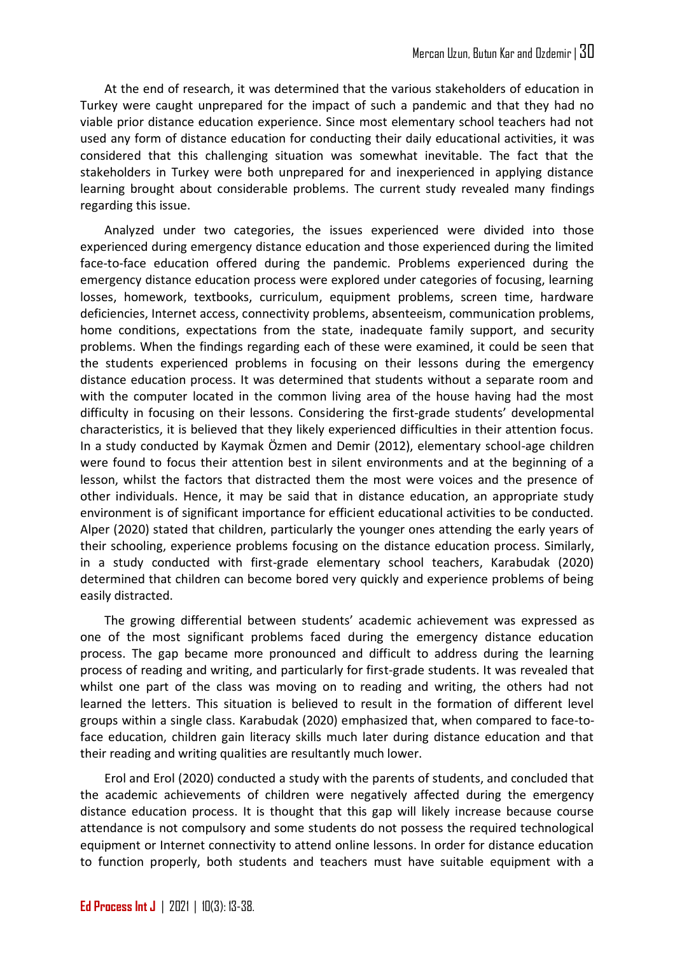At the end of research, it was determined that the various stakeholders of education in Turkey were caught unprepared for the impact of such a pandemic and that they had no viable prior distance education experience. Since most elementary school teachers had not used any form of distance education for conducting their daily educational activities, it was considered that this challenging situation was somewhat inevitable. The fact that the stakeholders in Turkey were both unprepared for and inexperienced in applying distance learning brought about considerable problems. The current study revealed many findings regarding this issue.

Analyzed under two categories, the issues experienced were divided into those experienced during emergency distance education and those experienced during the limited face-to-face education offered during the pandemic. Problems experienced during the emergency distance education process were explored under categories of focusing, learning losses, homework, textbooks, curriculum, equipment problems, screen time, hardware deficiencies, Internet access, connectivity problems, absenteeism, communication problems, home conditions, expectations from the state, inadequate family support, and security problems. When the findings regarding each of these were examined, it could be seen that the students experienced problems in focusing on their lessons during the emergency distance education process. It was determined that students without a separate room and with the computer located in the common living area of the house having had the most difficulty in focusing on their lessons. Considering the first-grade students' developmental characteristics, it is believed that they likely experienced difficulties in their attention focus. In a study conducted by Kaymak Özmen and Demir (2012), elementary school-age children were found to focus their attention best in silent environments and at the beginning of a lesson, whilst the factors that distracted them the most were voices and the presence of other individuals. Hence, it may be said that in distance education, an appropriate study environment is of significant importance for efficient educational activities to be conducted. Alper (2020) stated that children, particularly the younger ones attending the early years of their schooling, experience problems focusing on the distance education process. Similarly, in a study conducted with first-grade elementary school teachers, Karabudak (2020) determined that children can become bored very quickly and experience problems of being easily distracted.

The growing differential between students' academic achievement was expressed as one of the most significant problems faced during the emergency distance education process. The gap became more pronounced and difficult to address during the learning process of reading and writing, and particularly for first-grade students. It was revealed that whilst one part of the class was moving on to reading and writing, the others had not learned the letters. This situation is believed to result in the formation of different level groups within a single class. Karabudak (2020) emphasized that, when compared to face-toface education, children gain literacy skills much later during distance education and that their reading and writing qualities are resultantly much lower.

Erol and Erol (2020) conducted a study with the parents of students, and concluded that the academic achievements of children were negatively affected during the emergency distance education process. It is thought that this gap will likely increase because course attendance is not compulsory and some students do not possess the required technological equipment or Internet connectivity to attend online lessons. In order for distance education to function properly, both students and teachers must have suitable equipment with a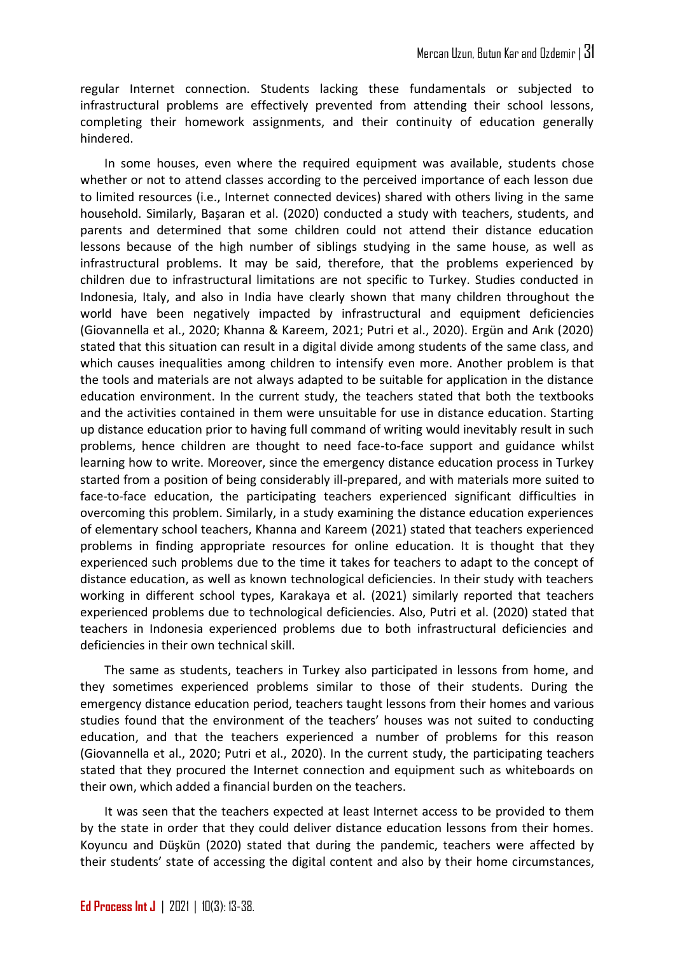regular Internet connection. Students lacking these fundamentals or subjected to infrastructural problems are effectively prevented from attending their school lessons, completing their homework assignments, and their continuity of education generally hindered.

In some houses, even where the required equipment was available, students chose whether or not to attend classes according to the perceived importance of each lesson due to limited resources (i.e., Internet connected devices) shared with others living in the same household. Similarly, Başaran et al. (2020) conducted a study with teachers, students, and parents and determined that some children could not attend their distance education lessons because of the high number of siblings studying in the same house, as well as infrastructural problems. It may be said, therefore, that the problems experienced by children due to infrastructural limitations are not specific to Turkey. Studies conducted in Indonesia, Italy, and also in India have clearly shown that many children throughout the world have been negatively impacted by infrastructural and equipment deficiencies (Giovannella et al., 2020; Khanna & Kareem, 2021; Putri et al., 2020). Ergün and Arık (2020) stated that this situation can result in a digital divide among students of the same class, and which causes inequalities among children to intensify even more. Another problem is that the tools and materials are not always adapted to be suitable for application in the distance education environment. In the current study, the teachers stated that both the textbooks and the activities contained in them were unsuitable for use in distance education. Starting up distance education prior to having full command of writing would inevitably result in such problems, hence children are thought to need face-to-face support and guidance whilst learning how to write. Moreover, since the emergency distance education process in Turkey started from a position of being considerably ill-prepared, and with materials more suited to face-to-face education, the participating teachers experienced significant difficulties in overcoming this problem. Similarly, in a study examining the distance education experiences of elementary school teachers, Khanna and Kareem (2021) stated that teachers experienced problems in finding appropriate resources for online education. It is thought that they experienced such problems due to the time it takes for teachers to adapt to the concept of distance education, as well as known technological deficiencies. In their study with teachers working in different school types, Karakaya et al. (2021) similarly reported that teachers experienced problems due to technological deficiencies. Also, Putri et al. (2020) stated that teachers in Indonesia experienced problems due to both infrastructural deficiencies and deficiencies in their own technical skill.

The same as students, teachers in Turkey also participated in lessons from home, and they sometimes experienced problems similar to those of their students. During the emergency distance education period, teachers taught lessons from their homes and various studies found that the environment of the teachers' houses was not suited to conducting education, and that the teachers experienced a number of problems for this reason (Giovannella et al., 2020; Putri et al., 2020). In the current study, the participating teachers stated that they procured the Internet connection and equipment such as whiteboards on their own, which added a financial burden on the teachers.

It was seen that the teachers expected at least Internet access to be provided to them by the state in order that they could deliver distance education lessons from their homes. Koyuncu and Düşkün (2020) stated that during the pandemic, teachers were affected by their students' state of accessing the digital content and also by their home circumstances,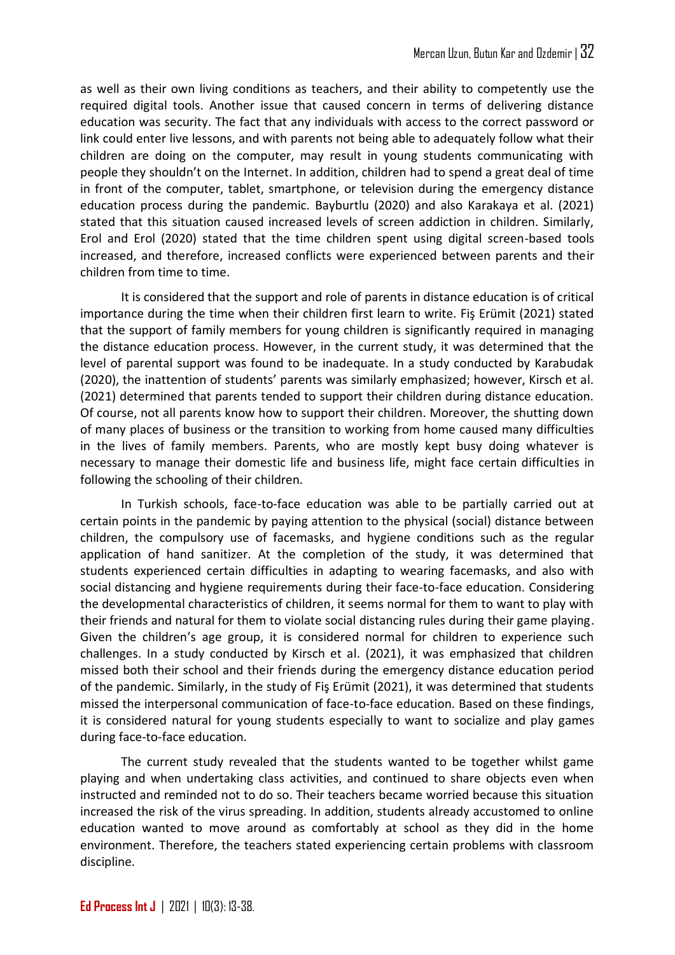as well as their own living conditions as teachers, and their ability to competently use the required digital tools. Another issue that caused concern in terms of delivering distance education was security. The fact that any individuals with access to the correct password or link could enter live lessons, and with parents not being able to adequately follow what their children are doing on the computer, may result in young students communicating with people they shouldn't on the Internet. In addition, children had to spend a great deal of time in front of the computer, tablet, smartphone, or television during the emergency distance education process during the pandemic. Bayburtlu (2020) and also Karakaya et al. (2021) stated that this situation caused increased levels of screen addiction in children. Similarly, Erol and Erol (2020) stated that the time children spent using digital screen-based tools increased, and therefore, increased conflicts were experienced between parents and their children from time to time.

It is considered that the support and role of parents in distance education is of critical importance during the time when their children first learn to write. Fiş Erümit (2021) stated that the support of family members for young children is significantly required in managing the distance education process. However, in the current study, it was determined that the level of parental support was found to be inadequate. In a study conducted by Karabudak (2020), the inattention of students' parents was similarly emphasized; however, Kirsch et al. (2021) determined that parents tended to support their children during distance education. Of course, not all parents know how to support their children. Moreover, the shutting down of many places of business or the transition to working from home caused many difficulties in the lives of family members. Parents, who are mostly kept busy doing whatever is necessary to manage their domestic life and business life, might face certain difficulties in following the schooling of their children.

In Turkish schools, face-to-face education was able to be partially carried out at certain points in the pandemic by paying attention to the physical (social) distance between children, the compulsory use of facemasks, and hygiene conditions such as the regular application of hand sanitizer. At the completion of the study, it was determined that students experienced certain difficulties in adapting to wearing facemasks, and also with social distancing and hygiene requirements during their face-to-face education. Considering the developmental characteristics of children, it seems normal for them to want to play with their friends and natural for them to violate social distancing rules during their game playing. Given the children's age group, it is considered normal for children to experience such challenges. In a study conducted by Kirsch et al. (2021), it was emphasized that children missed both their school and their friends during the emergency distance education period of the pandemic. Similarly, in the study of Fiş Erümit (2021), it was determined that students missed the interpersonal communication of face-to-face education. Based on these findings, it is considered natural for young students especially to want to socialize and play games during face-to-face education.

The current study revealed that the students wanted to be together whilst game playing and when undertaking class activities, and continued to share objects even when instructed and reminded not to do so. Their teachers became worried because this situation increased the risk of the virus spreading. In addition, students already accustomed to online education wanted to move around as comfortably at school as they did in the home environment. Therefore, the teachers stated experiencing certain problems with classroom discipline.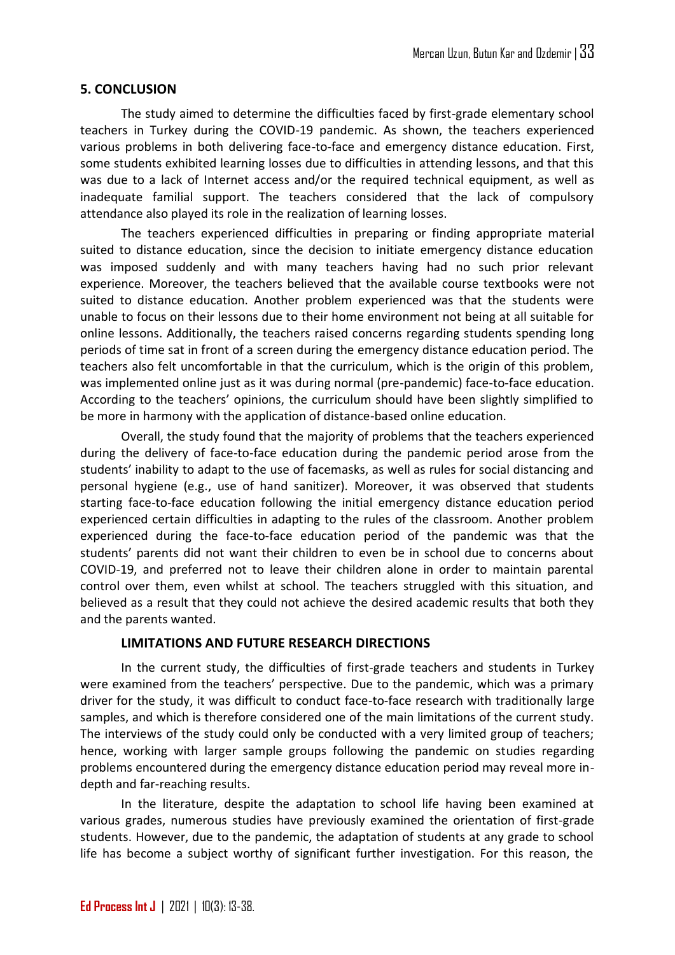#### **5. CONCLUSION**

The study aimed to determine the difficulties faced by first-grade elementary school teachers in Turkey during the COVID-19 pandemic. As shown, the teachers experienced various problems in both delivering face-to-face and emergency distance education. First, some students exhibited learning losses due to difficulties in attending lessons, and that this was due to a lack of Internet access and/or the required technical equipment, as well as inadequate familial support. The teachers considered that the lack of compulsory attendance also played its role in the realization of learning losses.

The teachers experienced difficulties in preparing or finding appropriate material suited to distance education, since the decision to initiate emergency distance education was imposed suddenly and with many teachers having had no such prior relevant experience. Moreover, the teachers believed that the available course textbooks were not suited to distance education. Another problem experienced was that the students were unable to focus on their lessons due to their home environment not being at all suitable for online lessons. Additionally, the teachers raised concerns regarding students spending long periods of time sat in front of a screen during the emergency distance education period. The teachers also felt uncomfortable in that the curriculum, which is the origin of this problem, was implemented online just as it was during normal (pre-pandemic) face-to-face education. According to the teachers' opinions, the curriculum should have been slightly simplified to be more in harmony with the application of distance-based online education.

Overall, the study found that the majority of problems that the teachers experienced during the delivery of face-to-face education during the pandemic period arose from the students' inability to adapt to the use of facemasks, as well as rules for social distancing and personal hygiene (e.g., use of hand sanitizer). Moreover, it was observed that students starting face-to-face education following the initial emergency distance education period experienced certain difficulties in adapting to the rules of the classroom. Another problem experienced during the face-to-face education period of the pandemic was that the students' parents did not want their children to even be in school due to concerns about COVID-19, and preferred not to leave their children alone in order to maintain parental control over them, even whilst at school. The teachers struggled with this situation, and believed as a result that they could not achieve the desired academic results that both they and the parents wanted.

#### **LIMITATIONS AND FUTURE RESEARCH DIRECTIONS**

In the current study, the difficulties of first-grade teachers and students in Turkey were examined from the teachers' perspective. Due to the pandemic, which was a primary driver for the study, it was difficult to conduct face-to-face research with traditionally large samples, and which is therefore considered one of the main limitations of the current study. The interviews of the study could only be conducted with a very limited group of teachers; hence, working with larger sample groups following the pandemic on studies regarding problems encountered during the emergency distance education period may reveal more indepth and far-reaching results.

In the literature, despite the adaptation to school life having been examined at various grades, numerous studies have previously examined the orientation of first-grade students. However, due to the pandemic, the adaptation of students at any grade to school life has become a subject worthy of significant further investigation. For this reason, the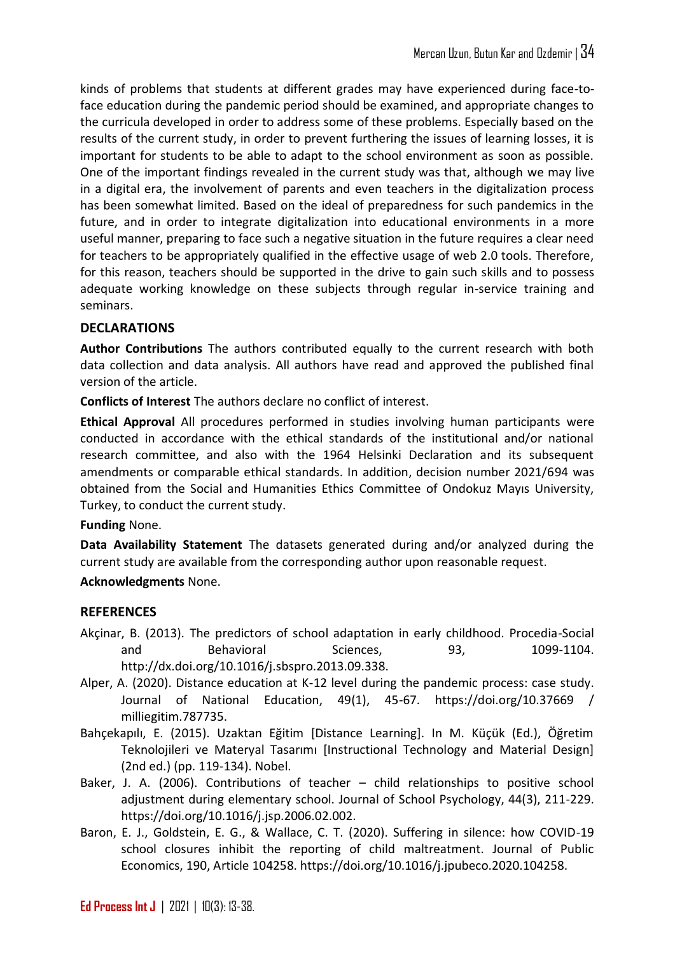kinds of problems that students at different grades may have experienced during face-toface education during the pandemic period should be examined, and appropriate changes to the curricula developed in order to address some of these problems. Especially based on the results of the current study, in order to prevent furthering the issues of learning losses, it is important for students to be able to adapt to the school environment as soon as possible. One of the important findings revealed in the current study was that, although we may live in a digital era, the involvement of parents and even teachers in the digitalization process has been somewhat limited. Based on the ideal of preparedness for such pandemics in the future, and in order to integrate digitalization into educational environments in a more useful manner, preparing to face such a negative situation in the future requires a clear need for teachers to be appropriately qualified in the effective usage of web 2.0 tools. Therefore, for this reason, teachers should be supported in the drive to gain such skills and to possess adequate working knowledge on these subjects through regular in-service training and seminars.

# **DECLARATIONS**

**Author Contributions** The authors contributed equally to the current research with both data collection and data analysis. All authors have read and approved the published final version of the article.

**Conflicts of Interest** The authors declare no conflict of interest.

**Ethical Approval** All procedures performed in studies involving human participants were conducted in accordance with the ethical standards of the institutional and/or national research committee, and also with the 1964 Helsinki Declaration and its subsequent amendments or comparable ethical standards. In addition, decision number 2021/694 was obtained from the Social and Humanities Ethics Committee of Ondokuz Mayıs University, Turkey, to conduct the current study.

**Funding** None.

**Data Availability Statement** The datasets generated during and/or analyzed during the current study are available from the corresponding author upon reasonable request.

# **Acknowledgments** None.

# **REFERENCES**

- Akçinar, B. (2013). The predictors of school adaptation in early childhood. Procedia-Social and Behavioral Sciences, 93, 1099-1104. http://dx.doi.org/10.1016/j.sbspro.2013.09.338.
- Alper, A. (2020). Distance education at K-12 level during the pandemic process: case study. Journal of National Education, 49(1), 45-67. https://doi.org/10.37669 / milliegitim.787735.
- Bahçekapılı, E. (2015). Uzaktan Eğitim [Distance Learning]. In M. Küçük (Ed.), Öğretim Teknolojileri ve Materyal Tasarımı [Instructional Technology and Material Design] (2nd ed.) (pp. 119-134). Nobel.
- Baker, J. A. (2006). Contributions of teacher child relationships to positive school adjustment during elementary school. Journal of School Psychology, 44(3), 211-229. https://doi.org/10.1016/j.jsp.2006.02.002.
- Baron, E. J., Goldstein, E. G., & Wallace, C. T. (2020). Suffering in silence: how COVID-19 school closures inhibit the reporting of child maltreatment. Journal of Public Economics, 190, Article 104258. https://doi.org/10.1016/j.jpubeco.2020.104258.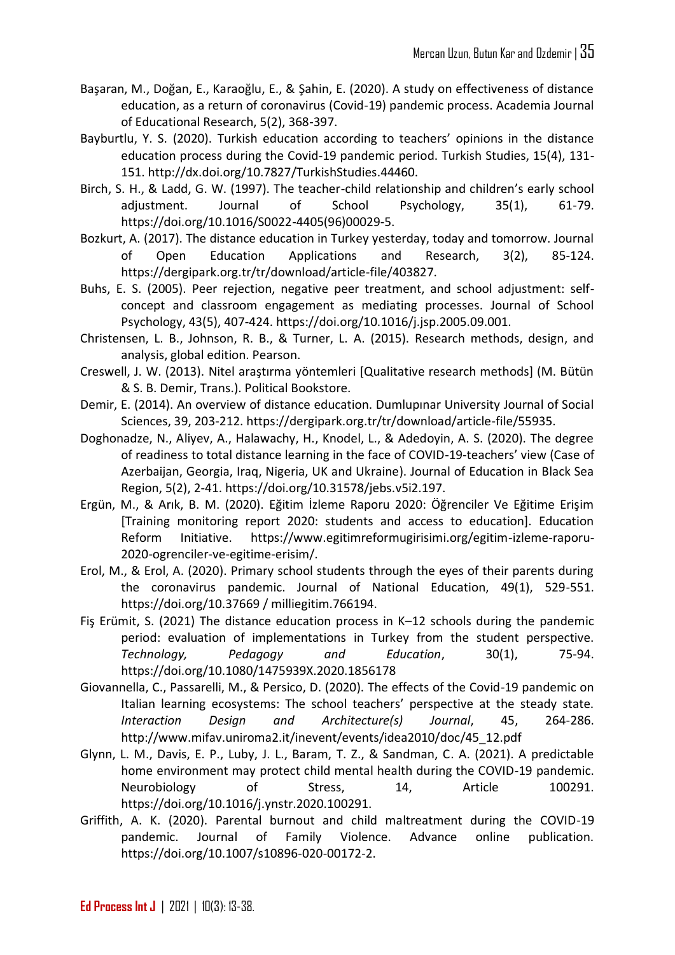- Başaran, M., Doğan, E., Karaoğlu, E., & Şahin, E. (2020). A study on effectiveness of distance education, as a return of coronavirus (Covid-19) pandemic process. Academia Journal of Educational Research, 5(2), 368-397.
- Bayburtlu, Y. S. (2020). Turkish education according to teachers' opinions in the distance education process during the Covid-19 pandemic period. Turkish Studies, 15(4), 131- 151. http://dx.doi.org/10.7827/TurkishStudies.44460.
- Birch, S. H., & Ladd, G. W. (1997). The teacher-child relationship and children's early school adjustment. Journal of School Psychology, 35(1), 61-79. https://doi.org/10.1016/S0022-4405(96)00029-5.
- Bozkurt, A. (2017). The distance education in Turkey yesterday, today and tomorrow. Journal of Open Education Applications and Research, 3(2), 85-124. https://dergipark.org.tr/tr/download/article-file/403827.
- Buhs, E. S. (2005). Peer rejection, negative peer treatment, and school adjustment: selfconcept and classroom engagement as mediating processes. Journal of School Psychology, 43(5), 407-424. https://doi.org/10.1016/j.jsp.2005.09.001.
- Christensen, L. B., Johnson, R. B., & Turner, L. A. (2015). Research methods, design, and analysis, global edition. Pearson.
- Creswell, J. W. (2013). Nitel araştırma yöntemleri [Qualitative research methods] (M. Bütün & S. B. Demir, Trans.). Political Bookstore.
- Demir, E. (2014). An overview of distance education. Dumlupınar University Journal of Social Sciences, 39, 203-212. https://dergipark.org.tr/tr/download/article-file/55935.
- Doghonadze, N., Aliyev, A., Halawachy, H., Knodel, L., & Adedoyin, A. S. (2020). The degree of readiness to total distance learning in the face of COVID-19-teachers' view (Case of Azerbaijan, Georgia, Iraq, Nigeria, UK and Ukraine). Journal of Education in Black Sea Region, 5(2), 2-41. https://doi.org/10.31578/jebs.v5i2.197.
- Ergün, M., & Arık, B. M. (2020). Eğitim İzleme Raporu 2020: Öğrenciler Ve Eğitime Erişim [Training monitoring report 2020: students and access to education]. Education Reform Initiative. https://www.egitimreformugirisimi.org/egitim-izleme-raporu-2020-ogrenciler-ve-egitime-erisim/.
- Erol, M., & Erol, A. (2020). Primary school students through the eyes of their parents during the coronavirus pandemic. Journal of National Education, 49(1), 529-551. https://doi.org/10.37669 / milliegitim.766194.
- Fiş Erümit, S. (2021) The distance education process in K–12 schools during the pandemic period: evaluation of implementations in Turkey from the student perspective. *Technology, Pedagogy and Education*, 30(1), 75-94. <https://doi.org/10.1080/1475939X.2020.1856178>
- Giovannella, C., Passarelli, M., & Persico, D. (2020). The effects of the Covid-19 pandemic on Italian learning ecosystems: The school teachers' perspective at the steady state. *Interaction Design and Architecture(s) Journal*, 45, 264-286. [http://www.mifav.uniroma2.it/inevent/events/idea2010/doc/45\\_12.pdf](http://www.mifav.uniroma2.it/inevent/events/idea2010/doc/45_12.pdf)
- Glynn, L. M., Davis, E. P., Luby, J. L., Baram, T. Z., & Sandman, C. A. (2021). A predictable home environment may protect child mental health during the COVID-19 pandemic. Neurobiology of Stress, 14, Article 100291. https://doi.org/10.1016/j.ynstr.2020.100291.
- Griffith, A. K. (2020). Parental burnout and child maltreatment during the COVID-19 pandemic. Journal of Family Violence. Advance online publication. https://doi.org/10.1007/s10896-020-00172-2.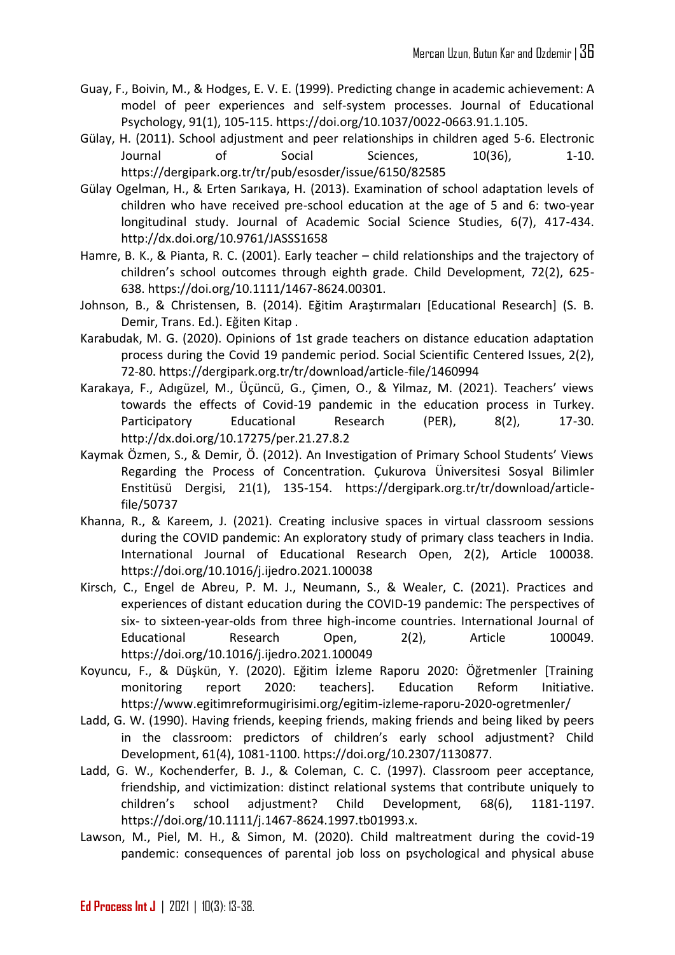- Guay, F., Boivin, M., & Hodges, E. V. E. (1999). Predicting change in academic achievement: A model of peer experiences and self-system processes. Journal of Educational Psychology, 91(1), 105-115. https://doi.org/10.1037/0022-0663.91.1.105.
- Gülay, H. (2011). School adjustment and peer relationships in children aged 5-6. Electronic Journal of Social Sciences, 10(36), 1-10. https://dergipark.org.tr/tr/pub/esosder/issue/6150/82585
- Gülay Ogelman, H., & Erten Sarıkaya, H. (2013). Examination of school adaptation levels of children who have received pre-school education at the age of 5 and 6: two-year longitudinal study. Journal of Academic Social Science Studies, 6(7), 417-434. http://dx.doi.org/10.9761/JASSS1658
- Hamre, B. K., & Pianta, R. C. (2001). Early teacher child relationships and the trajectory of children's school outcomes through eighth grade. Child Development, 72(2), 625- 638. https://doi.org/10.1111/1467-8624.00301.
- Johnson, B., & Christensen, B. (2014). Eğitim Araştırmaları [Educational Research] (S. B. Demir, Trans. Ed.). Eğiten Kitap .
- Karabudak, M. G. (2020). Opinions of 1st grade teachers on distance education adaptation process during the Covid 19 pandemic period. Social Scientific Centered Issues, 2(2), 72-80. https://dergipark.org.tr/tr/download/article-file/1460994
- Karakaya, F., Adıgüzel, M., Üçüncü, G., Çimen, O., & Yilmaz, M. (2021). Teachers' views towards the effects of Covid-19 pandemic in the education process in Turkey. Participatory Educational Research (PER), 8(2), 17-30. http://dx.doi.org/10.17275/per.21.27.8.2
- Kaymak Özmen, S., & Demir, Ö. (2012). An Investigation of Primary School Students' Views Regarding the Process of Concentration. Çukurova Üniversitesi Sosyal Bilimler Enstitüsü Dergisi, 21(1), 135-154. https://dergipark.org.tr/tr/download/articlefile/50737
- Khanna, R., & Kareem, J. (2021). Creating inclusive spaces in virtual classroom sessions during the COVID pandemic: An exploratory study of primary class teachers in India. International Journal of Educational Research Open, 2(2), Article 100038. https://doi.org/10.1016/j.ijedro.2021.100038
- Kirsch, C., Engel de Abreu, P. M. J., Neumann, S., & Wealer, C. (2021). Practices and experiences of distant education during the COVID-19 pandemic: The perspectives of six- to sixteen-year-olds from three high-income countries. International Journal of Educational Research Open, 2(2), Article 100049. https://doi.org/10.1016/j.ijedro.2021.100049
- Koyuncu, F., & Düşkün, Y. (2020). Eğitim İzleme Raporu 2020: Öğretmenler [Training monitoring report 2020: teachers]. Education Reform Initiative. https://www.egitimreformugirisimi.org/egitim-izleme-raporu-2020-ogretmenler/
- Ladd, G. W. (1990). Having friends, keeping friends, making friends and being liked by peers in the classroom: predictors of children's early school adjustment? Child Development, 61(4), 1081-1100. https://doi.org/10.2307/1130877.
- Ladd, G. W., Kochenderfer, B. J., & Coleman, C. C. (1997). Classroom peer acceptance, friendship, and victimization: distinct relational systems that contribute uniquely to children's school adjustment? Child Development, 68(6), 1181-1197. https://doi.org/10.1111/j.1467-8624.1997.tb01993.x.
- Lawson, M., Piel, M. H., & Simon, M. (2020). Child maltreatment during the covid-19 pandemic: consequences of parental job loss on psychological and physical abuse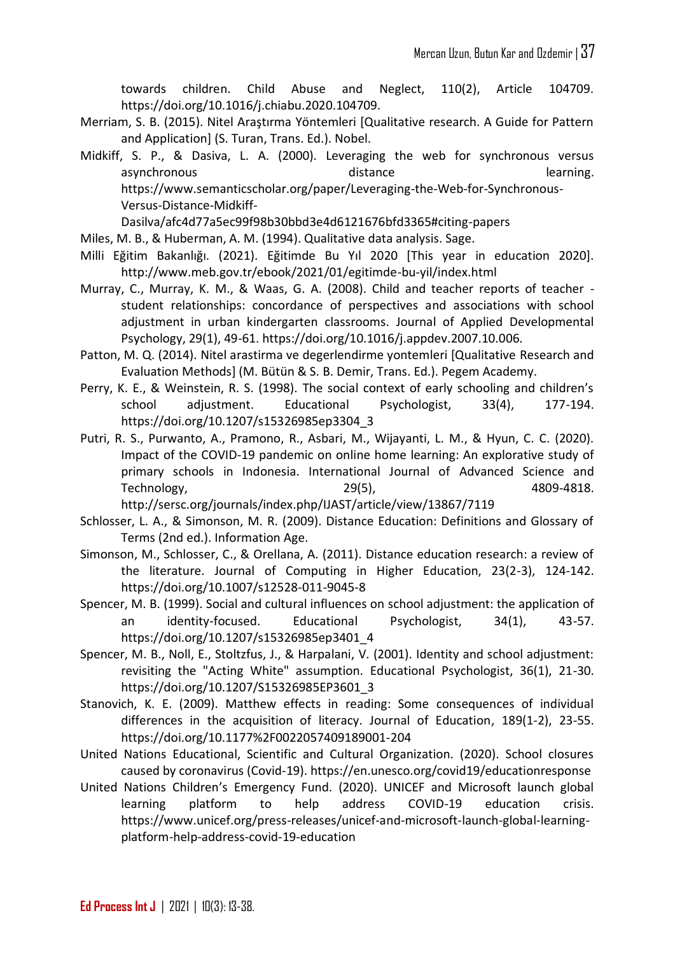towards children. Child Abuse and Neglect, 110(2), Article 104709. https://doi.org/10.1016/j.chiabu.2020.104709.

- Merriam, S. B. (2015). Nitel Araştırma Yöntemleri [Qualitative research. A Guide for Pattern and Application] (S. Turan, Trans. Ed.). Nobel.
- Midkiff, S. P., & Dasiva, L. A. (2000). Leveraging the web for synchronous versus asynchronous and the distance of the learning. https://www.semanticscholar.org/paper/Leveraging-the-Web-for-Synchronous-Versus-Distance-Midkiff-

Dasilva/afc4d77a5ec99f98b30bbd3e4d6121676bfd3365#citing-papers

- Miles, M. B., & Huberman, A. M. (1994). Qualitative data analysis. Sage.
- Milli Eğitim Bakanlığı. (2021). Eğitimde Bu Yıl 2020 [This year in education 2020]. http://www.meb.gov.tr/ebook/2021/01/egitimde-bu-yil/index.html
- Murray, C., Murray, K. M., & Waas, G. A. (2008). Child and teacher reports of teacher student relationships: concordance of perspectives and associations with school adjustment in urban kindergarten classrooms. Journal of Applied Developmental Psychology, 29(1), 49-61. https://doi.org/10.1016/j.appdev.2007.10.006.
- Patton, M. Q. (2014). Nitel arastirma ve degerlendirme yontemleri [Qualitative Research and Evaluation Methods] (M. Bütün & S. B. Demir, Trans. Ed.). Pegem Academy.
- Perry, K. E., & Weinstein, R. S. (1998). The social context of early schooling and children's school adjustment. Educational Psychologist, 33(4), 177-194. https://doi.org/10.1207/s15326985ep3304\_3
- Putri, R. S., Purwanto, A., Pramono, R., Asbari, M., Wijayanti, L. M., & Hyun, C. C. (2020). Impact of the COVID-19 pandemic on online home learning: An explorative study of primary schools in Indonesia. International Journal of Advanced Science and Technology, 29(5), 4809-4818. http://sersc.org/journals/index.php/IJAST/article/view/13867/7119
- Schlosser, L. A., & Simonson, M. R. (2009). Distance Education: Definitions and Glossary of Terms (2nd ed.). Information Age.
- Simonson, M., Schlosser, C., & Orellana, A. (2011). Distance education research: a review of the literature. Journal of Computing in Higher Education, 23(2-3), 124-142. https://doi.org/10.1007/s12528-011-9045-8
- Spencer, M. B. (1999). Social and cultural influences on school adjustment: the application of an identity-focused. Educational Psychologist, 34(1), 43-57. https://doi.org/10.1207/s15326985ep3401\_4
- Spencer, M. B., Noll, E., Stoltzfus, J., & Harpalani, V. (2001). Identity and school adjustment: revisiting the "Acting White" assumption. Educational Psychologist, 36(1), 21-30. https://doi.org/10.1207/S15326985EP3601\_3
- Stanovich, K. E. (2009). Matthew effects in reading: Some consequences of individual differences in the acquisition of literacy. Journal of Education, 189(1-2), 23-55. https://doi.org/10.1177%2F0022057409189001-204
- United Nations Educational, Scientific and Cultural Organization. (2020). School closures caused by coronavirus (Covid-19). https://en.unesco.org/covid19/educationresponse
- United Nations Children's Emergency Fund. (2020). UNICEF and Microsoft launch global learning platform to help address COVID-19 education crisis. https://www.unicef.org/press-releases/unicef-and-microsoft-launch-global-learningplatform-help-address-covid-19-education